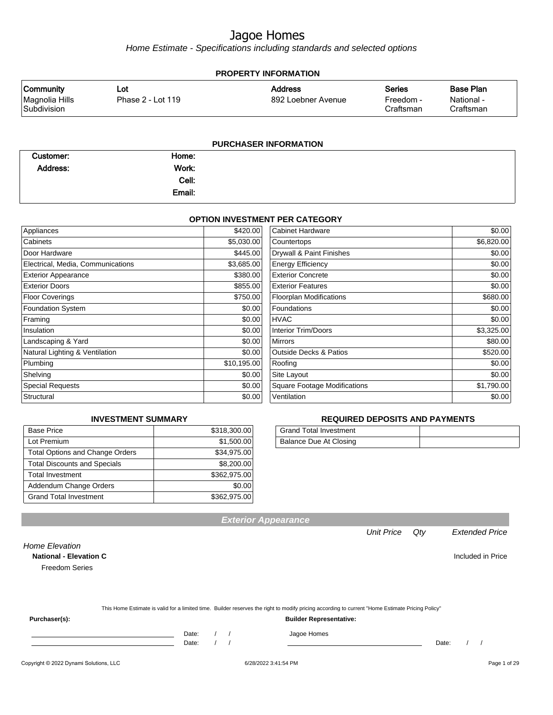Home Estimate - Specifications including standards and selected options

| <b>PROPERTY INFORMATION</b>   |                   |                       |                        |                         |  |  |
|-------------------------------|-------------------|-----------------------|------------------------|-------------------------|--|--|
| <b>Community</b>              | Lot               | <b>Address</b>        | <b>Series</b>          | <b>Base Plan</b>        |  |  |
| Magnolia Hills<br>Subdivision | Phase 2 - Lot 119 | 892 Loebner Avenue    | Freedom -<br>Craftsman | National -<br>Craftsman |  |  |
|                               |                   | PURCHASER INFORMATION |                        |                         |  |  |

| Customer:       | Home:  |  |
|-----------------|--------|--|
| <b>Address:</b> | Work:  |  |
|                 | Cell:  |  |
|                 | Email: |  |
|                 |        |  |

#### **OPTION INVESTMENT PER CATEGORY**

| Appliances                        | \$420.00    | Cabinet Hardware                    | \$0.00     |
|-----------------------------------|-------------|-------------------------------------|------------|
| Cabinets                          | \$5,030.00  | Countertops                         | \$6,820.00 |
| Door Hardware                     | \$445.00    | Drywall & Paint Finishes            | \$0.00     |
| Electrical, Media, Communications | \$3,685.00  | <b>Energy Efficiency</b>            | \$0.00     |
| <b>Exterior Appearance</b>        | \$380.00    | <b>Exterior Concrete</b>            | \$0.00     |
| <b>Exterior Doors</b>             | \$855.00    | <b>Exterior Features</b>            | \$0.00     |
| <b>Floor Coverings</b>            | \$750.00    | <b>Floorplan Modifications</b>      | \$680.00   |
| <b>Foundation System</b>          | \$0.00      | Foundations                         | \$0.00     |
| Framing                           | \$0.00      | <b>HVAC</b>                         | \$0.00     |
| Insulation                        | \$0.00      | <b>Interior Trim/Doors</b>          | \$3,325.00 |
| Landscaping & Yard                | \$0.00      | <b>Mirrors</b>                      | \$80.00    |
| Natural Lighting & Ventilation    | \$0.00      | <b>Outside Decks &amp; Patios</b>   | \$520.00   |
| Plumbing                          | \$10,195.00 | Roofing                             | \$0.00     |
| Shelving                          | \$0.00      | Site Layout                         | \$0.00     |
| <b>Special Requests</b>           | \$0.00      | <b>Square Footage Modifications</b> | \$1,790.00 |
| Structural                        | \$0.00      | Ventilation                         | \$0.00     |

#### **INVESTMENT SUMMARY**

| <b>Base Price</b>                      | \$318,300.00 |
|----------------------------------------|--------------|
| Lot Premium                            | \$1,500.00   |
| <b>Total Options and Change Orders</b> | \$34,975.00  |
| <b>Total Discounts and Specials</b>    | \$8,200.00   |
| <b>Total Investment</b>                | \$362,975.00 |
| Addendum Change Orders                 | \$0.00       |
| <b>Grand Total Investment</b>          | \$362,975.00 |

#### **REQUIRED DEPOSITS AND PAYMENTS**

| Grand Total Investment |  |
|------------------------|--|
| Balance Due At Closing |  |

**National - Elevation C Included in Price** Freedom Series

|  | This Home Estimate is valid for a limited time. Builder reserves the right to modify pricing according to current "Home Estimate Pricing Policy" |  |
|--|--------------------------------------------------------------------------------------------------------------------------------------------------|--|
|--|--------------------------------------------------------------------------------------------------------------------------------------------------|--|

**Exterior Appearance**

**Purchaser(s): Builder Representative:**

Home Elevation

Date: / / Date: / /

Date: / / Jagoe Homes<br>Date: / / Jagoe Homes

Unit Price Qty Extended Price

Copyright © 2022 Dynami Solutions, LLC <br>
6/28/2022 3:41:54 PM Page 1 of 29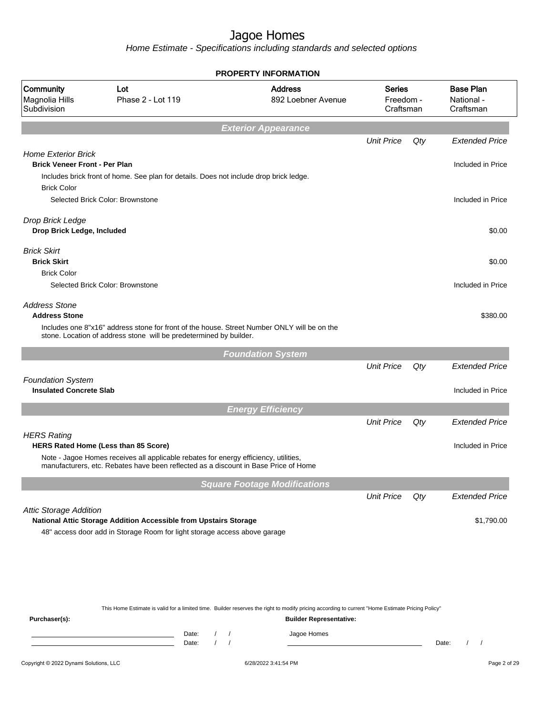Home Estimate - Specifications including standards and selected options

|                                                                    |                                                                                                                                                                                                                     | <b>PROPERTY INFORMATION</b>                                                                                                                      |                   |        |                                             |
|--------------------------------------------------------------------|---------------------------------------------------------------------------------------------------------------------------------------------------------------------------------------------------------------------|--------------------------------------------------------------------------------------------------------------------------------------------------|-------------------|--------|---------------------------------------------|
| Community<br>Magnolia Hills<br>Subdivision                         | Lot<br>Phase 2 - Lot 119                                                                                                                                                                                            | <b>Address</b><br><b>Series</b><br>892 Loebner Avenue<br>Freedom -<br>Craftsman                                                                  |                   |        | <b>Base Plan</b><br>National -<br>Craftsman |
|                                                                    |                                                                                                                                                                                                                     | <b>Exterior Appearance</b>                                                                                                                       |                   |        |                                             |
|                                                                    |                                                                                                                                                                                                                     |                                                                                                                                                  | <b>Unit Price</b> | Qty    | <b>Extended Price</b>                       |
| <b>Home Exterior Brick</b><br><b>Brick Veneer Front - Per Plan</b> |                                                                                                                                                                                                                     |                                                                                                                                                  |                   |        | Included in Price                           |
| <b>Brick Color</b>                                                 | Includes brick front of home. See plan for details. Does not include drop brick ledge.                                                                                                                              |                                                                                                                                                  |                   |        |                                             |
|                                                                    | Selected Brick Color: Brownstone                                                                                                                                                                                    |                                                                                                                                                  |                   |        | Included in Price                           |
| Drop Brick Ledge<br>Drop Brick Ledge, Included                     |                                                                                                                                                                                                                     |                                                                                                                                                  |                   |        | \$0.00                                      |
| <b>Brick Skirt</b><br><b>Brick Skirt</b>                           |                                                                                                                                                                                                                     |                                                                                                                                                  |                   |        | \$0.00                                      |
| <b>Brick Color</b>                                                 | Selected Brick Color: Brownstone                                                                                                                                                                                    |                                                                                                                                                  |                   |        | Included in Price                           |
| <b>Address Stone</b><br><b>Address Stone</b>                       |                                                                                                                                                                                                                     |                                                                                                                                                  |                   |        | \$380.00                                    |
|                                                                    | Includes one 8"x16" address stone for front of the house. Street Number ONLY will be on the<br>stone. Location of address stone will be predetermined by builder.                                                   |                                                                                                                                                  |                   |        |                                             |
|                                                                    |                                                                                                                                                                                                                     | <b>Foundation System</b>                                                                                                                         |                   |        |                                             |
|                                                                    |                                                                                                                                                                                                                     |                                                                                                                                                  | <b>Unit Price</b> | $Q$ ty | <b>Extended Price</b>                       |
| <b>Foundation System</b><br><b>Insulated Concrete Slab</b>         |                                                                                                                                                                                                                     |                                                                                                                                                  |                   |        | Included in Price                           |
|                                                                    |                                                                                                                                                                                                                     | <b>Energy Efficiency</b>                                                                                                                         |                   |        |                                             |
|                                                                    |                                                                                                                                                                                                                     |                                                                                                                                                  | <b>Unit Price</b> | Qty    | <b>Extended Price</b>                       |
| <b>HERS Rating</b>                                                 |                                                                                                                                                                                                                     |                                                                                                                                                  |                   |        |                                             |
|                                                                    | HERS Rated Home (Less than 85 Score)<br>Note - Jagoe Homes receives all applicable rebates for energy efficiency, utilities,<br>manufacturers, etc. Rebates have been reflected as a discount in Base Price of Home |                                                                                                                                                  |                   |        | Included in Price                           |
|                                                                    |                                                                                                                                                                                                                     | <b>Square Footage Modifications</b>                                                                                                              |                   |        |                                             |
|                                                                    |                                                                                                                                                                                                                     |                                                                                                                                                  | <b>Unit Price</b> | Qty    | <b>Extended Price</b>                       |
| <b>Attic Storage Addition</b>                                      |                                                                                                                                                                                                                     |                                                                                                                                                  |                   |        |                                             |
|                                                                    | National Attic Storage Addition Accessible from Upstairs Storage                                                                                                                                                    |                                                                                                                                                  |                   |        | \$1,790.00                                  |
|                                                                    | 48" access door add in Storage Room for light storage access above garage                                                                                                                                           |                                                                                                                                                  |                   |        |                                             |
|                                                                    |                                                                                                                                                                                                                     |                                                                                                                                                  |                   |        |                                             |
|                                                                    |                                                                                                                                                                                                                     |                                                                                                                                                  |                   |        |                                             |
|                                                                    |                                                                                                                                                                                                                     |                                                                                                                                                  |                   |        |                                             |
|                                                                    |                                                                                                                                                                                                                     | This Home Estimate is valid for a limited time. Builder reserves the right to modify pricing according to current "Home Estimate Pricing Policy" |                   |        |                                             |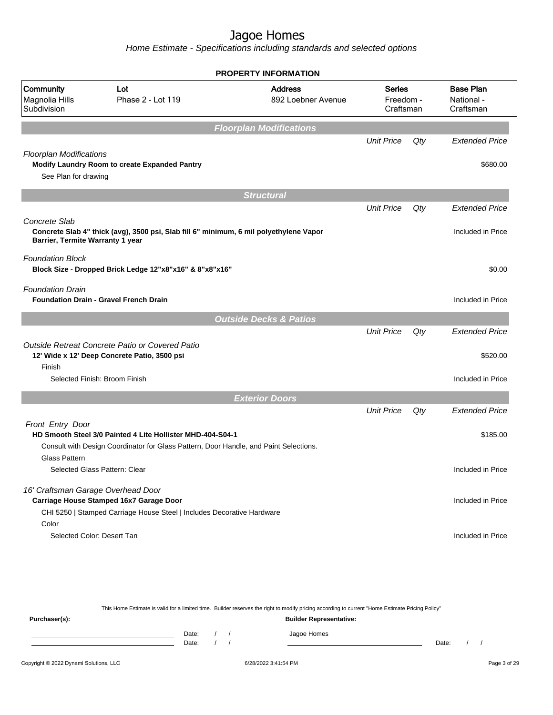Home Estimate - Specifications including standards and selected options

|                                            |                                                                                        | <b>PROPERTY INFORMATION</b>          |                                         |     |                                             |
|--------------------------------------------|----------------------------------------------------------------------------------------|--------------------------------------|-----------------------------------------|-----|---------------------------------------------|
| Community<br>Magnolia Hills<br>Subdivision | Lot<br>Phase 2 - Lot 119                                                               | <b>Address</b><br>892 Loebner Avenue | <b>Series</b><br>Freedom -<br>Craftsman |     | <b>Base Plan</b><br>National -<br>Craftsman |
|                                            |                                                                                        | <b>Floorplan Modifications</b>       |                                         |     |                                             |
|                                            |                                                                                        |                                      | <b>Unit Price</b>                       | Qty | <b>Extended Price</b>                       |
| <b>Floorplan Modifications</b>             |                                                                                        |                                      |                                         |     |                                             |
|                                            | Modify Laundry Room to create Expanded Pantry                                          |                                      |                                         |     | \$680.00                                    |
| See Plan for drawing                       |                                                                                        |                                      |                                         |     |                                             |
|                                            |                                                                                        | <b>Structural</b>                    |                                         |     |                                             |
|                                            |                                                                                        |                                      | <b>Unit Price</b>                       | Qty | <b>Extended Price</b>                       |
| Concrete Slab                              |                                                                                        |                                      |                                         |     |                                             |
| Barrier, Termite Warranty 1 year           | Concrete Slab 4" thick (avg), 3500 psi, Slab fill 6" minimum, 6 mil polyethylene Vapor |                                      |                                         |     | Included in Price                           |
| <b>Foundation Block</b>                    |                                                                                        |                                      |                                         |     |                                             |
|                                            | Block Size - Dropped Brick Ledge 12"x8"x16" & 8"x8"x16"                                |                                      |                                         |     | \$0.00                                      |
| <b>Foundation Drain</b>                    |                                                                                        |                                      |                                         |     |                                             |
|                                            | <b>Foundation Drain - Gravel French Drain</b>                                          |                                      |                                         |     | Included in Price                           |
|                                            |                                                                                        | <b>Outside Decks &amp; Patios</b>    |                                         |     |                                             |
|                                            |                                                                                        |                                      | <b>Unit Price</b>                       | Qty | <b>Extended Price</b>                       |
|                                            | Outside Retreat Concrete Patio or Covered Patio                                        |                                      |                                         |     |                                             |
|                                            | 12' Wide x 12' Deep Concrete Patio, 3500 psi                                           |                                      |                                         |     | \$520.00                                    |
| Finish                                     | Selected Finish: Broom Finish                                                          |                                      |                                         |     | Included in Price                           |
|                                            |                                                                                        |                                      |                                         |     |                                             |
|                                            |                                                                                        | <b>Exterior Doors</b>                |                                         |     |                                             |
|                                            |                                                                                        |                                      | <b>Unit Price</b>                       | Qty | <b>Extended Price</b>                       |
| Front Entry Door                           | HD Smooth Steel 3/0 Painted 4 Lite Hollister MHD-404-S04-1                             |                                      |                                         |     | \$185.00                                    |
|                                            | Consult with Design Coordinator for Glass Pattern, Door Handle, and Paint Selections.  |                                      |                                         |     |                                             |
| <b>Glass Pattern</b>                       |                                                                                        |                                      |                                         |     |                                             |
|                                            | Selected Glass Pattern: Clear                                                          |                                      |                                         |     | Included in Price                           |
| 16' Craftsman Garage Overhead Door         |                                                                                        |                                      |                                         |     |                                             |
|                                            | Carriage House Stamped 16x7 Garage Door                                                |                                      |                                         |     | Included in Price                           |
|                                            | CHI 5250   Stamped Carriage House Steel   Includes Decorative Hardware                 |                                      |                                         |     |                                             |
|                                            |                                                                                        |                                      |                                         |     |                                             |
| Color<br>Selected Color: Desert Tan        |                                                                                        |                                      |                                         |     | Included in Price                           |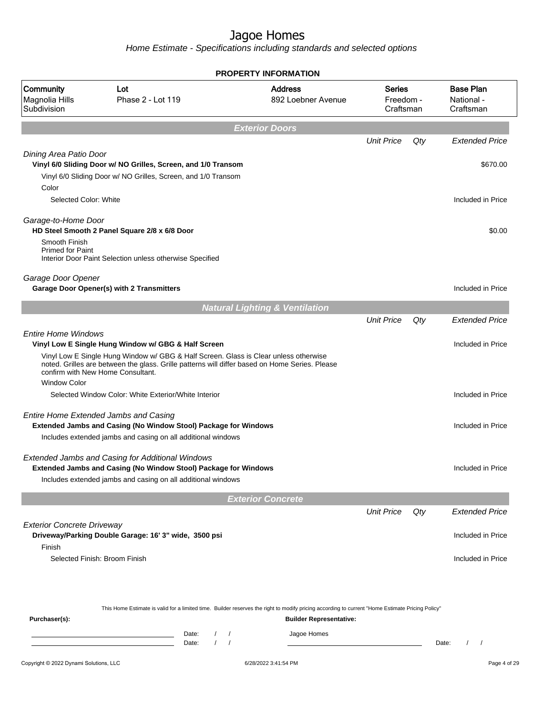|                                             |                                                                                                                                                                                                                             |                            |                          | <b>PROPERTY INFORMATION</b>                                                                                                                      |                                         |       |                                             |
|---------------------------------------------|-----------------------------------------------------------------------------------------------------------------------------------------------------------------------------------------------------------------------------|----------------------------|--------------------------|--------------------------------------------------------------------------------------------------------------------------------------------------|-----------------------------------------|-------|---------------------------------------------|
| Community<br>Magnolia Hills<br>Subdivision  | Lot<br>Phase 2 - Lot 119                                                                                                                                                                                                    |                            |                          | <b>Address</b><br>892 Loebner Avenue                                                                                                             | <b>Series</b><br>Freedom -<br>Craftsman |       | <b>Base Plan</b><br>National -<br>Craftsman |
|                                             |                                                                                                                                                                                                                             |                            | <b>Exterior Doors</b>    |                                                                                                                                                  |                                         |       |                                             |
|                                             |                                                                                                                                                                                                                             |                            |                          |                                                                                                                                                  | <b>Unit Price</b>                       | Qty   | <b>Extended Price</b>                       |
| Dining Area Patio Door                      |                                                                                                                                                                                                                             |                            |                          |                                                                                                                                                  |                                         |       |                                             |
|                                             | Vinyl 6/0 Sliding Door w/ NO Grilles, Screen, and 1/0 Transom<br>Vinyl 6/0 Sliding Door w/ NO Grilles, Screen, and 1/0 Transom                                                                                              |                            |                          |                                                                                                                                                  |                                         |       | \$670.00                                    |
| Color                                       |                                                                                                                                                                                                                             |                            |                          |                                                                                                                                                  |                                         |       |                                             |
| Selected Color: White                       |                                                                                                                                                                                                                             |                            |                          |                                                                                                                                                  |                                         |       | Included in Price                           |
| Garage-to-Home Door                         | HD Steel Smooth 2 Panel Square 2/8 x 6/8 Door                                                                                                                                                                               |                            |                          |                                                                                                                                                  |                                         |       | \$0.00                                      |
| Smooth Finish                               |                                                                                                                                                                                                                             |                            |                          |                                                                                                                                                  |                                         |       |                                             |
| <b>Primed for Paint</b>                     | Interior Door Paint Selection unless otherwise Specified                                                                                                                                                                    |                            |                          |                                                                                                                                                  |                                         |       |                                             |
| Garage Door Opener                          |                                                                                                                                                                                                                             |                            |                          |                                                                                                                                                  |                                         |       |                                             |
|                                             | Garage Door Opener(s) with 2 Transmitters                                                                                                                                                                                   |                            |                          |                                                                                                                                                  |                                         |       | Included in Price                           |
|                                             |                                                                                                                                                                                                                             |                            |                          | <b>Natural Lighting &amp; Ventilation</b>                                                                                                        |                                         |       |                                             |
|                                             |                                                                                                                                                                                                                             |                            |                          |                                                                                                                                                  | <b>Unit Price</b>                       | Qty   | <b>Extended Price</b>                       |
| <b>Entire Home Windows</b>                  |                                                                                                                                                                                                                             |                            |                          |                                                                                                                                                  |                                         |       |                                             |
|                                             | Vinyl Low E Single Hung Window w/ GBG & Half Screen                                                                                                                                                                         |                            |                          |                                                                                                                                                  |                                         |       | Included in Price                           |
| <b>Window Color</b>                         | Vinyl Low E Single Hung Window w/ GBG & Half Screen. Glass is Clear unless otherwise<br>noted. Grilles are between the glass. Grille patterns will differ based on Home Series. Please<br>confirm with New Home Consultant. |                            |                          |                                                                                                                                                  |                                         |       |                                             |
|                                             | Selected Window Color: White Exterior/White Interior                                                                                                                                                                        |                            |                          |                                                                                                                                                  |                                         |       | Included in Price                           |
|                                             |                                                                                                                                                                                                                             |                            |                          |                                                                                                                                                  |                                         |       |                                             |
|                                             | Entire Home Extended Jambs and Casing<br>Extended Jambs and Casing (No Window Stool) Package for Windows                                                                                                                    |                            |                          |                                                                                                                                                  |                                         |       | Included in Price                           |
|                                             | Includes extended jambs and casing on all additional windows                                                                                                                                                                |                            |                          |                                                                                                                                                  |                                         |       |                                             |
|                                             | Extended Jambs and Casing for Additional Windows                                                                                                                                                                            |                            |                          |                                                                                                                                                  |                                         |       |                                             |
|                                             | <b>Extended Jambs and Casing (No Window Stool) Package for Windows</b>                                                                                                                                                      |                            |                          |                                                                                                                                                  |                                         |       | Included in Price                           |
|                                             | Includes extended jambs and casing on all additional windows                                                                                                                                                                |                            |                          |                                                                                                                                                  |                                         |       |                                             |
|                                             |                                                                                                                                                                                                                             |                            | <b>Exterior Concrete</b> |                                                                                                                                                  |                                         |       |                                             |
|                                             |                                                                                                                                                                                                                             |                            |                          |                                                                                                                                                  | <b>Unit Price</b>                       | Qty   | <b>Extended Price</b>                       |
| <b>Exterior Concrete Driveway</b><br>Finish | Driveway/Parking Double Garage: 16' 3" wide, 3500 psi                                                                                                                                                                       |                            |                          |                                                                                                                                                  |                                         |       | Included in Price                           |
|                                             | Selected Finish: Broom Finish                                                                                                                                                                                               |                            |                          |                                                                                                                                                  |                                         |       | Included in Price                           |
|                                             |                                                                                                                                                                                                                             |                            |                          | This Home Estimate is valid for a limited time. Builder reserves the right to modify pricing according to current "Home Estimate Pricing Policy" |                                         |       |                                             |
| Purchaser(s):                               |                                                                                                                                                                                                                             |                            |                          | <b>Builder Representative:</b>                                                                                                                   |                                         |       |                                             |
|                                             |                                                                                                                                                                                                                             | Date:<br>$\prime$<br>Date: | $\sqrt{ }$               | Jagoe Homes                                                                                                                                      |                                         | Date: | $\prime$<br>$\prime$                        |
|                                             |                                                                                                                                                                                                                             |                            |                          |                                                                                                                                                  |                                         |       |                                             |
| Copyright © 2022 Dynami Solutions, LLC      |                                                                                                                                                                                                                             |                            |                          | 6/28/2022 3:41:54 PM                                                                                                                             |                                         |       | Page 4 of 29                                |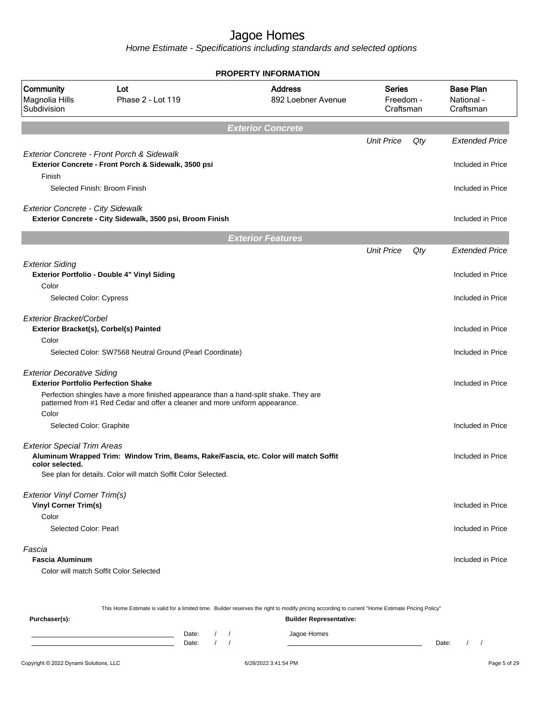Home Estimate - Specifications including standards and selected options

|                                                                                 |                                                                                                                                                                       | <b>PROPERTY INFORMATION</b>          |                                         |     |                                             |
|---------------------------------------------------------------------------------|-----------------------------------------------------------------------------------------------------------------------------------------------------------------------|--------------------------------------|-----------------------------------------|-----|---------------------------------------------|
| Community<br>Magnolia Hills<br>Subdivision                                      | Lot<br>Phase 2 - Lot 119                                                                                                                                              | <b>Address</b><br>892 Loebner Avenue | <b>Series</b><br>Freedom -<br>Craftsman |     | <b>Base Plan</b><br>National -<br>Craftsman |
|                                                                                 |                                                                                                                                                                       | <b>Exterior Concrete</b>             |                                         |     |                                             |
|                                                                                 |                                                                                                                                                                       |                                      | <b>Unit Price</b>                       | Qty | <b>Extended Price</b>                       |
| Finish                                                                          | Exterior Concrete - Front Porch & Sidewalk<br>Exterior Concrete - Front Porch & Sidewalk, 3500 psi                                                                    |                                      |                                         |     | Included in Price                           |
|                                                                                 | Selected Finish: Broom Finish                                                                                                                                         |                                      |                                         |     | Included in Price                           |
| <b>Exterior Concrete - City Sidewalk</b>                                        | Exterior Concrete - City Sidewalk, 3500 psi, Broom Finish                                                                                                             |                                      |                                         |     | Included in Price                           |
|                                                                                 |                                                                                                                                                                       | <b>Exterior Features</b>             |                                         |     |                                             |
|                                                                                 |                                                                                                                                                                       |                                      | <b>Unit Price</b>                       | Qty | <b>Extended Price</b>                       |
| <b>Exterior Siding</b><br>Color                                                 | Exterior Portfolio - Double 4" Vinyl Siding                                                                                                                           |                                      |                                         |     | Included in Price                           |
| Selected Color: Cypress                                                         |                                                                                                                                                                       |                                      |                                         |     | Included in Price                           |
|                                                                                 |                                                                                                                                                                       |                                      |                                         |     |                                             |
| Exterior Bracket/Corbel                                                         | Exterior Bracket(s), Corbel(s) Painted                                                                                                                                |                                      |                                         |     | Included in Price                           |
| Color                                                                           | Selected Color: SW7568 Neutral Ground (Pearl Coordinate)                                                                                                              |                                      |                                         |     | Included in Price                           |
| <b>Exterior Decorative Siding</b><br><b>Exterior Portfolio Perfection Shake</b> |                                                                                                                                                                       |                                      |                                         |     | Included in Price                           |
|                                                                                 | Perfection shingles have a more finished appearance than a hand-split shake. They are<br>patterned from #1 Red Cedar and offer a cleaner and more uniform appearance. |                                      |                                         |     |                                             |
| Color                                                                           |                                                                                                                                                                       |                                      |                                         |     |                                             |
| Selected Color: Graphite                                                        |                                                                                                                                                                       |                                      |                                         |     | Included in Price                           |
| <b>Exterior Special Trim Areas</b><br>color selected.                           | Aluminum Wrapped Trim: Window Trim, Beams, Rake/Fascia, etc. Color will match Soffit                                                                                  |                                      |                                         |     | Included in Price                           |
|                                                                                 | See plan for details. Color will match Soffit Color Selected.                                                                                                         |                                      |                                         |     |                                             |
| <b>Exterior Vinyl Corner Trim(s)</b><br><b>Vinyl Corner Trim(s)</b>             |                                                                                                                                                                       |                                      |                                         |     | Included in Price                           |
| Color                                                                           |                                                                                                                                                                       |                                      |                                         |     |                                             |
| Selected Color: Pearl                                                           |                                                                                                                                                                       |                                      |                                         |     | Included in Price                           |
| Fascia<br><b>Fascia Aluminum</b>                                                |                                                                                                                                                                       |                                      |                                         |     | Included in Price                           |
|                                                                                 | Color will match Soffit Color Selected                                                                                                                                |                                      |                                         |     |                                             |
|                                                                                 |                                                                                                                                                                       |                                      |                                         |     |                                             |
|                                                                                 |                                                                                                                                                                       |                                      |                                         |     |                                             |

This Home Estimate is valid for a limited time. Builder reserves the right to modify pricing according to current "Home Estimate Pricing Policy"

**Purchaser(s): Builder Representative:** Date: / / Jagoe Homes<br>Date: / / Jagoe Homes Date: / / **Date: / / 2006** Date: / / / Date: / / /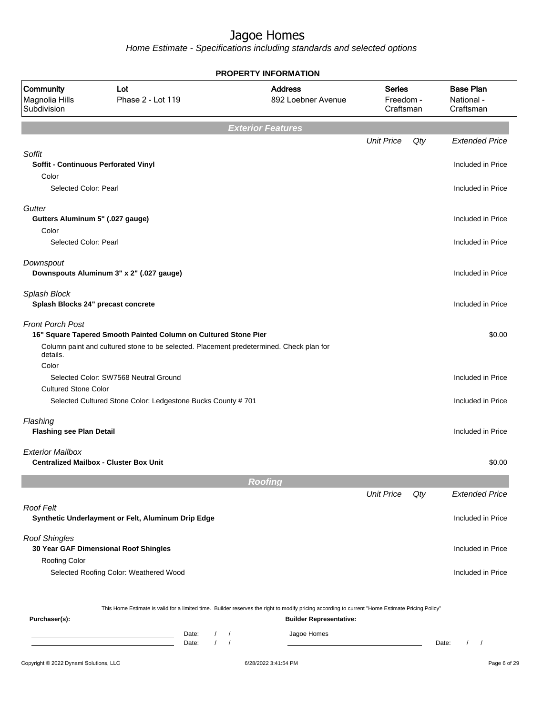|                                                                                |                                                                                                                                                            | <b>PROPERTY INFORMATION</b>                                                                                                                                                                                                   |                                         |     |                                             |
|--------------------------------------------------------------------------------|------------------------------------------------------------------------------------------------------------------------------------------------------------|-------------------------------------------------------------------------------------------------------------------------------------------------------------------------------------------------------------------------------|-----------------------------------------|-----|---------------------------------------------|
| Community<br>Magnolia Hills<br>Subdivision                                     | Lot<br>Phase 2 - Lot 119                                                                                                                                   | <b>Address</b><br>892 Loebner Avenue                                                                                                                                                                                          | <b>Series</b><br>Freedom -<br>Craftsman |     | <b>Base Plan</b><br>National -<br>Craftsman |
|                                                                                |                                                                                                                                                            | <b>Exterior Features</b>                                                                                                                                                                                                      |                                         |     |                                             |
|                                                                                |                                                                                                                                                            |                                                                                                                                                                                                                               | <b>Unit Price</b>                       | Qty | <b>Extended Price</b>                       |
| Soffit<br><b>Soffit - Continuous Perforated Vinyl</b><br>Color                 |                                                                                                                                                            |                                                                                                                                                                                                                               |                                         |     | Included in Price                           |
| Selected Color: Pearl                                                          |                                                                                                                                                            |                                                                                                                                                                                                                               |                                         |     | Included in Price                           |
| Gutter                                                                         |                                                                                                                                                            |                                                                                                                                                                                                                               |                                         |     |                                             |
| Gutters Aluminum 5" (.027 gauge)<br>Color                                      |                                                                                                                                                            |                                                                                                                                                                                                                               |                                         |     | Included in Price                           |
| Selected Color: Pearl                                                          |                                                                                                                                                            |                                                                                                                                                                                                                               |                                         |     | Included in Price                           |
| Downspout<br>Downspouts Aluminum 3" x 2" (.027 gauge)                          |                                                                                                                                                            |                                                                                                                                                                                                                               |                                         |     | Included in Price                           |
| Splash Block<br>Splash Blocks 24" precast concrete                             |                                                                                                                                                            |                                                                                                                                                                                                                               |                                         |     | Included in Price                           |
| <b>Front Porch Post</b><br>details.                                            | 16" Square Tapered Smooth Painted Column on Cultured Stone Pier<br>Column paint and cultured stone to be selected. Placement predetermined. Check plan for |                                                                                                                                                                                                                               |                                         |     | \$0.00                                      |
| Color<br><b>Cultured Stone Color</b>                                           | Selected Color: SW7568 Neutral Ground                                                                                                                      |                                                                                                                                                                                                                               |                                         |     | Included in Price                           |
|                                                                                | Selected Cultured Stone Color: Ledgestone Bucks County # 701                                                                                               |                                                                                                                                                                                                                               |                                         |     | Included in Price                           |
| Flashing<br><b>Flashing see Plan Detail</b>                                    |                                                                                                                                                            |                                                                                                                                                                                                                               |                                         |     | Included in Price                           |
| <b>Exterior Mailbox</b><br><b>Centralized Mailbox - Cluster Box Unit</b>       |                                                                                                                                                            |                                                                                                                                                                                                                               |                                         |     | \$0.00                                      |
|                                                                                |                                                                                                                                                            | <b>Roofing</b>                                                                                                                                                                                                                |                                         |     |                                             |
|                                                                                |                                                                                                                                                            |                                                                                                                                                                                                                               | <b>Unit Price</b>                       | Qty | <b>Extended Price</b>                       |
| <b>Roof Felt</b>                                                               | Synthetic Underlayment or Felt, Aluminum Drip Edge                                                                                                         |                                                                                                                                                                                                                               |                                         |     | Included in Price                           |
| <b>Roof Shingles</b><br>30 Year GAF Dimensional Roof Shingles<br>Roofing Color |                                                                                                                                                            |                                                                                                                                                                                                                               |                                         |     | Included in Price                           |
|                                                                                | Selected Roofing Color: Weathered Wood                                                                                                                     |                                                                                                                                                                                                                               |                                         |     | Included in Price                           |
| Purchaser(s):                                                                  | $\prime$<br>Date:<br><u> 1989 - Johann Barn, mars eta bainar eta idazlea (</u><br>$\sqrt{ }$<br>Date:                                                      | This Home Estimate is valid for a limited time. Builder reserves the right to modify pricing according to current "Home Estimate Pricing Policy"<br><b>Builder Representative:</b><br>Jagoe Homes<br>$\sqrt{ }$<br>$\sqrt{2}$ |                                         |     | Date:<br>$\prime$<br>$\sqrt{ }$             |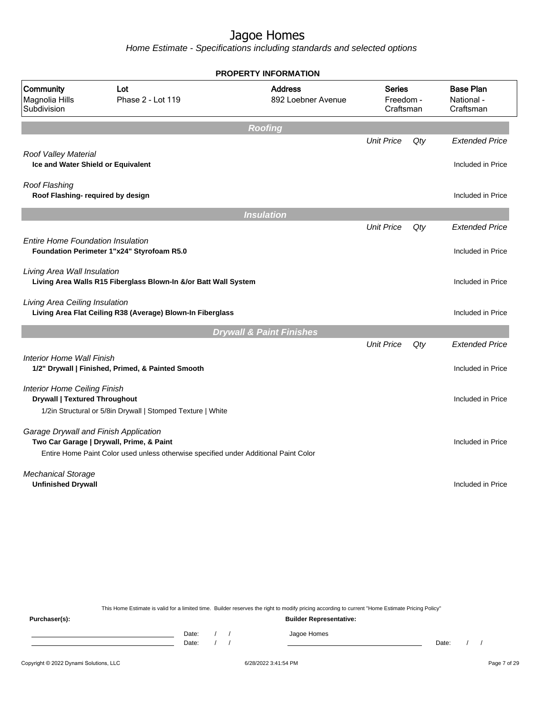Home Estimate - Specifications including standards and selected options

|                                                                                   |                                                                                      | <b>PROPERTY INFORMATION</b>          |                                         |     |                                             |
|-----------------------------------------------------------------------------------|--------------------------------------------------------------------------------------|--------------------------------------|-----------------------------------------|-----|---------------------------------------------|
| Community<br>Magnolia Hills<br>Subdivision                                        | Lot<br>Phase 2 - Lot 119                                                             | <b>Address</b><br>892 Loebner Avenue | <b>Series</b><br>Freedom -<br>Craftsman |     | <b>Base Plan</b><br>National -<br>Craftsman |
|                                                                                   |                                                                                      | <b>Roofing</b>                       |                                         |     |                                             |
|                                                                                   |                                                                                      |                                      | <b>Unit Price</b>                       | Qty | <b>Extended Price</b>                       |
| Roof Valley Material<br>Ice and Water Shield or Equivalent                        |                                                                                      |                                      |                                         |     | Included in Price                           |
| <b>Roof Flashing</b><br>Roof Flashing- required by design                         |                                                                                      |                                      |                                         |     | Included in Price                           |
|                                                                                   |                                                                                      | <b>Insulation</b>                    |                                         |     |                                             |
|                                                                                   |                                                                                      |                                      | <b>Unit Price</b>                       | Qty | <b>Extended Price</b>                       |
| <b>Entire Home Foundation Insulation</b>                                          | Foundation Perimeter 1"x24" Styrofoam R5.0                                           |                                      |                                         |     | Included in Price                           |
| Living Area Wall Insulation                                                       | Living Area Walls R15 Fiberglass Blown-In &/or Batt Wall System                      |                                      |                                         |     | Included in Price                           |
| Living Area Ceiling Insulation                                                    | Living Area Flat Ceiling R38 (Average) Blown-In Fiberglass                           |                                      |                                         |     | Included in Price                           |
|                                                                                   |                                                                                      | <b>Drywall &amp; Paint Finishes</b>  |                                         |     |                                             |
|                                                                                   |                                                                                      |                                      | <b>Unit Price</b>                       | Qty | <b>Extended Price</b>                       |
| <b>Interior Home Wall Finish</b>                                                  | 1/2" Drywall   Finished, Primed, & Painted Smooth                                    |                                      |                                         |     | Included in Price                           |
| <b>Interior Home Ceiling Finish</b><br><b>Drywall   Textured Throughout</b>       | 1/2in Structural or 5/8in Drywall   Stomped Texture   White                          |                                      |                                         |     | Included in Price                           |
| Garage Drywall and Finish Application<br>Two Car Garage   Drywall, Prime, & Paint | Entire Home Paint Color used unless otherwise specified under Additional Paint Color |                                      |                                         |     | Included in Price                           |
| <b>Mechanical Storage</b><br><b>Unfinished Drywall</b>                            |                                                                                      |                                      |                                         |     | Included in Price                           |
|                                                                                   |                                                                                      |                                      |                                         |     |                                             |

This Home Estimate is valid for a limited time. Builder reserves the right to modify pricing according to current "Home Estimate Pricing Policy"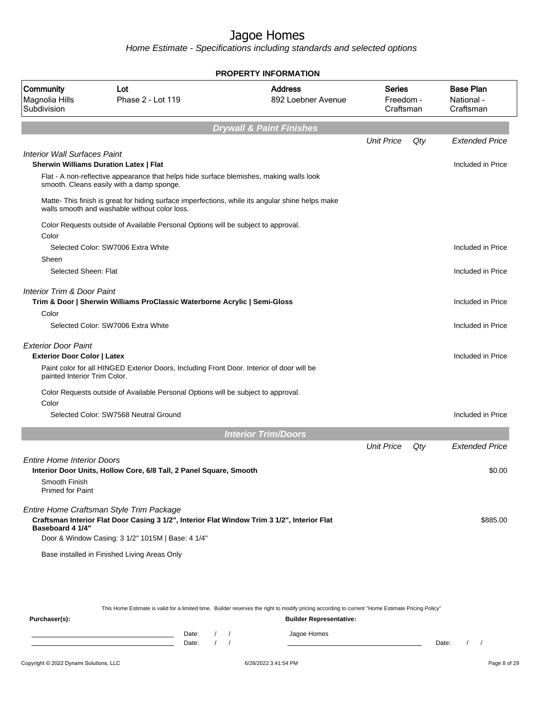Home Estimate - Specifications including standards and selected options

|                                            |                                                                                                                                                   | <b>PROPERTY INFORMATION</b>          |                                  |     |                                             |
|--------------------------------------------|---------------------------------------------------------------------------------------------------------------------------------------------------|--------------------------------------|----------------------------------|-----|---------------------------------------------|
| Community<br>Magnolia Hills<br>Subdivision | Lot<br>Phase 2 - Lot 119                                                                                                                          | <b>Address</b><br>892 Loebner Avenue | Series<br>Freedom -<br>Craftsman |     | <b>Base Plan</b><br>National -<br>Craftsman |
|                                            |                                                                                                                                                   | <b>Drywall &amp; Paint Finishes</b>  |                                  |     |                                             |
|                                            |                                                                                                                                                   |                                      | <b>Unit Price</b>                | Qty | <b>Extended Price</b>                       |
| <b>Interior Wall Surfaces Paint</b>        |                                                                                                                                                   |                                      |                                  |     |                                             |
|                                            | <b>Sherwin Williams Duration Latex   Flat</b>                                                                                                     |                                      |                                  |     | Included in Price                           |
|                                            | Flat - A non-reflective appearance that helps hide surface blemishes, making walls look<br>smooth. Cleans easily with a damp sponge.              |                                      |                                  |     |                                             |
|                                            | Matte- This finish is great for hiding surface imperfections, while its angular shine helps make<br>walls smooth and washable without color loss. |                                      |                                  |     |                                             |
| Color                                      | Color Requests outside of Available Personal Options will be subject to approval.                                                                 |                                      |                                  |     |                                             |
|                                            | Selected Color: SW7006 Extra White                                                                                                                |                                      |                                  |     | Included in Price                           |
| Sheen                                      |                                                                                                                                                   |                                      |                                  |     |                                             |
| Selected Sheen: Flat                       |                                                                                                                                                   |                                      |                                  |     | Included in Price                           |
| Interior Trim & Door Paint                 | Trim & Door   Sherwin Williams ProClassic Waterborne Acrylic   Semi-Gloss                                                                         |                                      |                                  |     | Included in Price                           |
| Color                                      |                                                                                                                                                   |                                      |                                  |     |                                             |
|                                            | Selected Color: SW7006 Extra White                                                                                                                |                                      |                                  |     | Included in Price                           |
| <b>Exterior Door Paint</b>                 |                                                                                                                                                   |                                      |                                  |     |                                             |
| <b>Exterior Door Color   Latex</b>         |                                                                                                                                                   |                                      |                                  |     | Included in Price                           |
| painted Interior Trim Color.               | Paint color for all HINGED Exterior Doors, Including Front Door. Interior of door will be                                                         |                                      |                                  |     |                                             |
|                                            | Color Requests outside of Available Personal Options will be subject to approval.                                                                 |                                      |                                  |     |                                             |
| Color                                      |                                                                                                                                                   |                                      |                                  |     |                                             |
|                                            | Selected Color: SW7568 Neutral Ground                                                                                                             |                                      |                                  |     | Included in Price                           |
|                                            |                                                                                                                                                   | <b>Interior Trim/Doors</b>           |                                  |     |                                             |
|                                            |                                                                                                                                                   |                                      | <b>Unit Price</b>                | Qty | <b>Extended Price</b>                       |
| <b>Entire Home Interior Doors</b>          | Interior Door Units, Hollow Core, 6/8 Tall, 2 Panel Square, Smooth                                                                                |                                      |                                  |     | \$0.00                                      |
| Smooth Finish                              |                                                                                                                                                   |                                      |                                  |     |                                             |
| <b>Primed for Paint</b>                    |                                                                                                                                                   |                                      |                                  |     |                                             |
|                                            |                                                                                                                                                   |                                      |                                  |     |                                             |
| <b>Baseboard 4 1/4"</b>                    | Entire Home Craftsman Style Trim Package<br>Craftsman Interior Flat Door Casing 3 1/2", Interior Flat Window Trim 3 1/2", Interior Flat           |                                      |                                  |     | \$885.00                                    |
|                                            | Door & Window Casing: 3 1/2" 1015M   Base: 4 1/4"                                                                                                 |                                      |                                  |     |                                             |
|                                            | Base installed in Finished Living Areas Only                                                                                                      |                                      |                                  |     |                                             |
|                                            |                                                                                                                                                   |                                      |                                  |     |                                             |
|                                            |                                                                                                                                                   |                                      |                                  |     |                                             |
|                                            |                                                                                                                                                   |                                      |                                  |     |                                             |

This Home Estimate is valid for a limited time. Builder reserves the right to modify pricing according to current "Home Estimate Pricing Policy"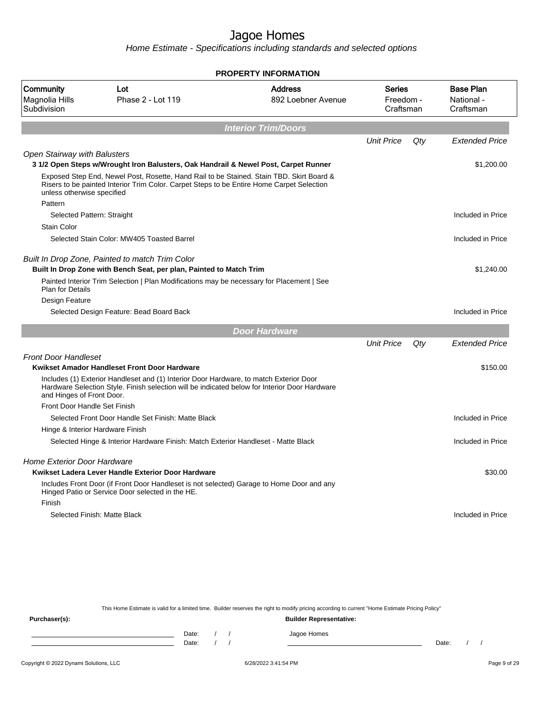Home Estimate - Specifications including standards and selected options

|                                            |                                                                                                                                                                                         | <b>PROPERTY INFORMATION</b>          |                                         |     |                                             |
|--------------------------------------------|-----------------------------------------------------------------------------------------------------------------------------------------------------------------------------------------|--------------------------------------|-----------------------------------------|-----|---------------------------------------------|
| Community<br>Magnolia Hills<br>Subdivision | Lot<br>Phase 2 - Lot 119                                                                                                                                                                | <b>Address</b><br>892 Loebner Avenue | <b>Series</b><br>Freedom -<br>Craftsman |     | <b>Base Plan</b><br>National -<br>Craftsman |
|                                            |                                                                                                                                                                                         | <b>Interior Trim/Doors</b>           |                                         |     |                                             |
|                                            |                                                                                                                                                                                         |                                      | <b>Unit Price</b>                       | Qty | <b>Extended Price</b>                       |
| <b>Open Stairway with Balusters</b>        | 3 1/2 Open Steps w/Wrought Iron Balusters, Oak Handrail & Newel Post, Carpet Runner                                                                                                     |                                      |                                         |     | \$1,200.00                                  |
| unless otherwise specified                 | Exposed Step End, Newel Post, Rosette, Hand Rail to be Stained. Stain TBD. Skirt Board &<br>Risers to be painted Interior Trim Color. Carpet Steps to be Entire Home Carpet Selection   |                                      |                                         |     |                                             |
| Pattern                                    |                                                                                                                                                                                         |                                      |                                         |     |                                             |
| Selected Pattern: Straight                 |                                                                                                                                                                                         |                                      |                                         |     | Included in Price                           |
| Stain Color                                |                                                                                                                                                                                         |                                      |                                         |     |                                             |
|                                            | Selected Stain Color: MW405 Toasted Barrel                                                                                                                                              |                                      |                                         |     | Included in Price                           |
|                                            | Built In Drop Zone, Painted to match Trim Color<br>Built In Drop Zone with Bench Seat, per plan, Painted to Match Trim                                                                  |                                      |                                         |     | \$1,240.00                                  |
| Plan for Details                           | Painted Interior Trim Selection   Plan Modifications may be necessary for Placement   See                                                                                               |                                      |                                         |     |                                             |
| Design Feature                             |                                                                                                                                                                                         |                                      |                                         |     |                                             |
|                                            | Selected Design Feature: Bead Board Back                                                                                                                                                |                                      |                                         |     | Included in Price                           |
|                                            |                                                                                                                                                                                         | <b>Door Hardware</b>                 |                                         |     |                                             |
|                                            |                                                                                                                                                                                         |                                      | <b>Unit Price</b>                       | Qty | <b>Extended Price</b>                       |
| <b>Front Door Handleset</b>                |                                                                                                                                                                                         |                                      |                                         |     |                                             |
|                                            | Kwikset Amador Handleset Front Door Hardware                                                                                                                                            |                                      |                                         |     | \$150.00                                    |
| and Hinges of Front Door.                  | Includes (1) Exterior Handleset and (1) Interior Door Hardware, to match Exterior Door<br>Hardware Selection Style. Finish selection will be indicated below for Interior Door Hardware |                                      |                                         |     |                                             |
| Front Door Handle Set Finish               |                                                                                                                                                                                         |                                      |                                         |     |                                             |
|                                            | Selected Front Door Handle Set Finish: Matte Black                                                                                                                                      |                                      |                                         |     | Included in Price                           |
| Hinge & Interior Hardware Finish           |                                                                                                                                                                                         |                                      |                                         |     |                                             |
|                                            | Selected Hinge & Interior Hardware Finish: Match Exterior Handleset - Matte Black                                                                                                       |                                      |                                         |     | Included in Price                           |
| Home Exterior Door Hardware                |                                                                                                                                                                                         |                                      |                                         |     |                                             |
|                                            | Kwikset Ladera Lever Handle Exterior Door Hardware                                                                                                                                      |                                      |                                         |     | \$30.00                                     |
|                                            | Includes Front Door (if Front Door Handleset is not selected) Garage to Home Door and any<br>Hinged Patio or Service Door selected in the HE.                                           |                                      |                                         |     |                                             |
| Finish                                     |                                                                                                                                                                                         |                                      |                                         |     |                                             |
|                                            | Selected Finish: Matte Black                                                                                                                                                            |                                      |                                         |     | Included in Price                           |
|                                            |                                                                                                                                                                                         |                                      |                                         |     |                                             |
|                                            |                                                                                                                                                                                         |                                      |                                         |     |                                             |
|                                            |                                                                                                                                                                                         |                                      |                                         |     |                                             |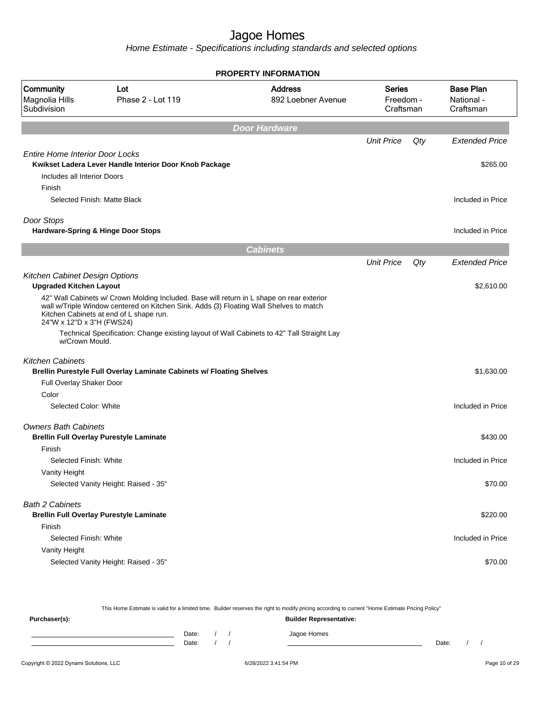|                                                                                 |                                                                                                                                                                                                                                                                                                                             | <b>PROPERTY INFORMATION</b>          |                                  |     |                                             |
|---------------------------------------------------------------------------------|-----------------------------------------------------------------------------------------------------------------------------------------------------------------------------------------------------------------------------------------------------------------------------------------------------------------------------|--------------------------------------|----------------------------------|-----|---------------------------------------------|
| Community<br>Magnolia Hills<br>Subdivision                                      | Lot<br>Phase 2 - Lot 119                                                                                                                                                                                                                                                                                                    | <b>Address</b><br>892 Loebner Avenue | Series<br>Freedom -<br>Craftsman |     | <b>Base Plan</b><br>National -<br>Craftsman |
|                                                                                 |                                                                                                                                                                                                                                                                                                                             | Door Hardware                        |                                  |     |                                             |
|                                                                                 |                                                                                                                                                                                                                                                                                                                             |                                      | <b>Unit Price</b>                | Qty | <b>Extended Price</b>                       |
| <b>Entire Home Interior Door Locks</b><br>Includes all Interior Doors<br>Finish | Kwikset Ladera Lever Handle Interior Door Knob Package                                                                                                                                                                                                                                                                      |                                      |                                  |     | \$265.00                                    |
|                                                                                 | Selected Finish: Matte Black                                                                                                                                                                                                                                                                                                |                                      |                                  |     | Included in Price                           |
| Door Stops                                                                      | Hardware-Spring & Hinge Door Stops                                                                                                                                                                                                                                                                                          |                                      |                                  |     | Included in Price                           |
|                                                                                 |                                                                                                                                                                                                                                                                                                                             | <b>Cabinets</b>                      |                                  |     |                                             |
|                                                                                 |                                                                                                                                                                                                                                                                                                                             |                                      | <b>Unit Price</b>                | Qty | <b>Extended Price</b>                       |
| Kitchen Cabinet Design Options<br><b>Upgraded Kitchen Layout</b>                |                                                                                                                                                                                                                                                                                                                             |                                      |                                  |     | \$2,610.00                                  |
| 24"W x 12"D x 3"H (FWS24)                                                       | 42" Wall Cabinets w/ Crown Molding Included. Base will return in L shape on rear exterior<br>wall w/Triple Window centered on Kitchen Sink. Adds (3) Floating Wall Shelves to match<br>Kitchen Cabinets at end of L shape run.<br>Technical Specification: Change existing layout of Wall Cabinets to 42" Tall Straight Lay |                                      |                                  |     |                                             |
| w/Crown Mould.                                                                  |                                                                                                                                                                                                                                                                                                                             |                                      |                                  |     |                                             |
| <b>Kitchen Cabinets</b>                                                         | Brellin Purestyle Full Overlay Laminate Cabinets w/ Floating Shelves                                                                                                                                                                                                                                                        |                                      |                                  |     | \$1,630.00                                  |
| Full Overlay Shaker Door                                                        |                                                                                                                                                                                                                                                                                                                             |                                      |                                  |     |                                             |
| Color                                                                           |                                                                                                                                                                                                                                                                                                                             |                                      |                                  |     |                                             |
| Selected Color: White                                                           |                                                                                                                                                                                                                                                                                                                             |                                      |                                  |     | Included in Price                           |
| <b>Owners Bath Cabinets</b>                                                     | <b>Brellin Full Overlay Purestyle Laminate</b>                                                                                                                                                                                                                                                                              |                                      |                                  |     | \$430.00                                    |
| Finish<br>Selected Finish: White                                                |                                                                                                                                                                                                                                                                                                                             |                                      |                                  |     | Included in Price                           |
| Vanity Height                                                                   |                                                                                                                                                                                                                                                                                                                             |                                      |                                  |     |                                             |
|                                                                                 | Selected Vanity Height: Raised - 35"                                                                                                                                                                                                                                                                                        |                                      |                                  |     | \$70.00                                     |
| <b>Bath 2 Cabinets</b>                                                          |                                                                                                                                                                                                                                                                                                                             |                                      |                                  |     |                                             |
| Finish                                                                          | <b>Brellin Full Overlay Purestyle Laminate</b>                                                                                                                                                                                                                                                                              |                                      |                                  |     | \$220.00                                    |
| Selected Finish: White                                                          |                                                                                                                                                                                                                                                                                                                             |                                      |                                  |     | Included in Price                           |
| Vanity Height                                                                   |                                                                                                                                                                                                                                                                                                                             |                                      |                                  |     |                                             |
|                                                                                 | Selected Vanity Height: Raised - 35"                                                                                                                                                                                                                                                                                        |                                      |                                  |     | \$70.00                                     |
|                                                                                 |                                                                                                                                                                                                                                                                                                                             |                                      |                                  |     |                                             |

|               |                |  | This Home Estimate is valid for a limited time. Builder reserves the right to modify pricing according to current "Home Estimate Pricing Policy" |       |  |
|---------------|----------------|--|--------------------------------------------------------------------------------------------------------------------------------------------------|-------|--|
| Purchaser(s): |                |  | <b>Builder Representative:</b>                                                                                                                   |       |  |
|               | Date:<br>Date: |  | Jagoe Homes                                                                                                                                      | Date: |  |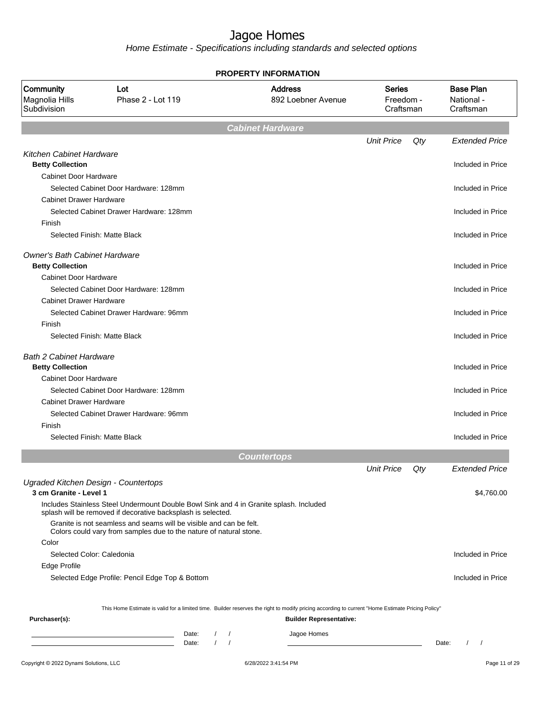|                                                                 |                                                                                                                                                                                                                                                                                                    |       |                  | <b>PROPERTY INFORMATION</b>                                                                                                                      |                                         |     |                                             |
|-----------------------------------------------------------------|----------------------------------------------------------------------------------------------------------------------------------------------------------------------------------------------------------------------------------------------------------------------------------------------------|-------|------------------|--------------------------------------------------------------------------------------------------------------------------------------------------|-----------------------------------------|-----|---------------------------------------------|
| Community<br>Magnolia Hills<br>Subdivision                      | Lot<br>Phase 2 - Lot 119                                                                                                                                                                                                                                                                           |       |                  | <b>Address</b><br>892 Loebner Avenue                                                                                                             | <b>Series</b><br>Freedom -<br>Craftsman |     | <b>Base Plan</b><br>National -<br>Craftsman |
|                                                                 |                                                                                                                                                                                                                                                                                                    |       |                  | <b>Cabinet Hardware</b>                                                                                                                          |                                         |     |                                             |
|                                                                 |                                                                                                                                                                                                                                                                                                    |       |                  |                                                                                                                                                  | <b>Unit Price</b>                       | Qty | <b>Extended Price</b>                       |
| <b>Kitchen Cabinet Hardware</b><br><b>Betty Collection</b>      |                                                                                                                                                                                                                                                                                                    |       |                  |                                                                                                                                                  |                                         |     | Included in Price                           |
| <b>Cabinet Door Hardware</b>                                    | Selected Cabinet Door Hardware: 128mm                                                                                                                                                                                                                                                              |       |                  |                                                                                                                                                  |                                         |     | Included in Price                           |
| <b>Cabinet Drawer Hardware</b><br>Finish                        | Selected Cabinet Drawer Hardware: 128mm                                                                                                                                                                                                                                                            |       |                  |                                                                                                                                                  |                                         |     | Included in Price                           |
| Selected Finish: Matte Black                                    |                                                                                                                                                                                                                                                                                                    |       |                  |                                                                                                                                                  |                                         |     | Included in Price                           |
| <b>Owner's Bath Cabinet Hardware</b><br><b>Betty Collection</b> |                                                                                                                                                                                                                                                                                                    |       |                  |                                                                                                                                                  |                                         |     | Included in Price                           |
| <b>Cabinet Door Hardware</b>                                    | Selected Cabinet Door Hardware: 128mm                                                                                                                                                                                                                                                              |       |                  |                                                                                                                                                  |                                         |     | Included in Price                           |
| <b>Cabinet Drawer Hardware</b>                                  | Selected Cabinet Drawer Hardware: 96mm                                                                                                                                                                                                                                                             |       |                  |                                                                                                                                                  |                                         |     | Included in Price                           |
| Finish<br>Selected Finish: Matte Black                          |                                                                                                                                                                                                                                                                                                    |       |                  |                                                                                                                                                  |                                         |     | Included in Price                           |
| <b>Bath 2 Cabinet Hardware</b><br><b>Betty Collection</b>       |                                                                                                                                                                                                                                                                                                    |       |                  |                                                                                                                                                  |                                         |     | Included in Price                           |
| Cabinet Door Hardware                                           |                                                                                                                                                                                                                                                                                                    |       |                  |                                                                                                                                                  |                                         |     |                                             |
| <b>Cabinet Drawer Hardware</b>                                  | Selected Cabinet Door Hardware: 128mm                                                                                                                                                                                                                                                              |       |                  |                                                                                                                                                  |                                         |     | Included in Price                           |
| Finish                                                          | Selected Cabinet Drawer Hardware: 96mm                                                                                                                                                                                                                                                             |       |                  |                                                                                                                                                  |                                         |     | Included in Price                           |
| Selected Finish: Matte Black                                    |                                                                                                                                                                                                                                                                                                    |       |                  |                                                                                                                                                  |                                         |     | Included in Price                           |
|                                                                 |                                                                                                                                                                                                                                                                                                    |       |                  | <b>Countertops</b>                                                                                                                               |                                         |     |                                             |
|                                                                 |                                                                                                                                                                                                                                                                                                    |       |                  |                                                                                                                                                  | <b>Unit Price</b>                       | Qty | <b>Extended Price</b>                       |
| Ugraded Kitchen Design - Countertops<br>3 cm Granite - Level 1  |                                                                                                                                                                                                                                                                                                    |       |                  |                                                                                                                                                  |                                         |     | \$4,760.00                                  |
| Color                                                           | Includes Stainless Steel Undermount Double Bowl Sink and 4 in Granite splash. Included<br>splash will be removed if decorative backsplash is selected.<br>Granite is not seamless and seams will be visible and can be felt.<br>Colors could vary from samples due to the nature of natural stone. |       |                  |                                                                                                                                                  |                                         |     |                                             |
| Selected Color: Caledonia                                       |                                                                                                                                                                                                                                                                                                    |       |                  |                                                                                                                                                  |                                         |     | Included in Price                           |
| Edge Profile                                                    | Selected Edge Profile: Pencil Edge Top & Bottom                                                                                                                                                                                                                                                    |       |                  |                                                                                                                                                  |                                         |     | Included in Price                           |
|                                                                 |                                                                                                                                                                                                                                                                                                    |       |                  | This Home Estimate is valid for a limited time. Builder reserves the right to modify pricing according to current "Home Estimate Pricing Policy" |                                         |     |                                             |
| Purchaser(s):                                                   |                                                                                                                                                                                                                                                                                                    |       |                  | <b>Builder Representative:</b>                                                                                                                   |                                         |     |                                             |
|                                                                 |                                                                                                                                                                                                                                                                                                    | Date: | $\left  \right $ | Jagoe Homes                                                                                                                                      |                                         |     |                                             |
|                                                                 | <u> 1989 - Johann Barn, mars ann an t-Amhain an t-A</u>                                                                                                                                                                                                                                            | Date: | $\left  \right $ |                                                                                                                                                  |                                         |     | $1 \quad 1$<br>Date:                        |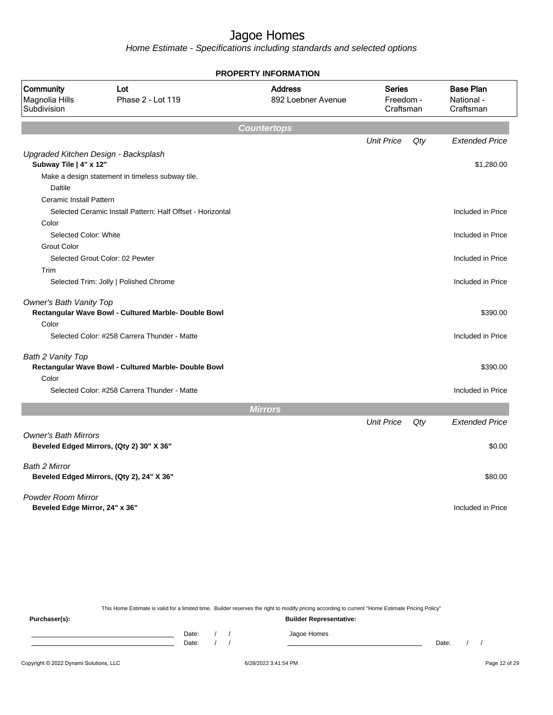Home Estimate - Specifications including standards and selected options

| Community<br>Lot<br>Phase 2 - Lot 119<br>Magnolia Hills<br>Subdivision |                                                            | <b>Address</b><br>892 Loebner Avenue | Series<br>Freedom -<br>Craftsman |     | <b>Base Plan</b><br>National -<br>Craftsman |
|------------------------------------------------------------------------|------------------------------------------------------------|--------------------------------------|----------------------------------|-----|---------------------------------------------|
|                                                                        |                                                            |                                      |                                  |     |                                             |
|                                                                        |                                                            | <b>Countertops</b>                   |                                  |     |                                             |
|                                                                        |                                                            |                                      | <b>Unit Price</b>                | Qty | <b>Extended Price</b>                       |
|                                                                        | Upgraded Kitchen Design - Backsplash                       |                                      |                                  |     |                                             |
| Subway Tile   4" x 12"                                                 |                                                            |                                      |                                  |     | \$1,280.00                                  |
|                                                                        | Make a design statement in timeless subway tile.           |                                      |                                  |     |                                             |
| <b>Daltile</b>                                                         |                                                            |                                      |                                  |     |                                             |
| <b>Ceramic Install Pattern</b>                                         |                                                            |                                      |                                  |     |                                             |
|                                                                        | Selected Ceramic Install Pattern: Half Offset - Horizontal |                                      |                                  |     | Included in Price                           |
| Color                                                                  |                                                            |                                      |                                  |     |                                             |
| Selected Color: White                                                  |                                                            |                                      |                                  |     | Included in Price                           |
| <b>Grout Color</b>                                                     |                                                            |                                      |                                  |     |                                             |
|                                                                        | Selected Grout Color: 02 Pewter                            |                                      |                                  |     | Included in Price                           |
| Trim                                                                   |                                                            |                                      |                                  |     |                                             |
|                                                                        | Selected Trim: Jolly   Polished Chrome                     |                                      |                                  |     | Included in Price                           |
| Owner's Bath Vanity Top                                                | Rectangular Wave Bowl - Cultured Marble- Double Bowl       |                                      |                                  |     | \$390.00                                    |
| Color                                                                  |                                                            |                                      |                                  |     |                                             |
|                                                                        | Selected Color: #258 Carrera Thunder - Matte               |                                      |                                  |     | Included in Price                           |
| Bath 2 Vanity Top<br>Color                                             | Rectangular Wave Bowl - Cultured Marble- Double Bowl       |                                      |                                  |     | \$390.00                                    |
|                                                                        | Selected Color: #258 Carrera Thunder - Matte               |                                      |                                  |     | Included in Price                           |
|                                                                        |                                                            |                                      |                                  |     |                                             |
|                                                                        |                                                            | <b>Mirrors</b>                       |                                  |     |                                             |
|                                                                        |                                                            |                                      | <b>Unit Price</b>                | Qty | <b>Extended Price</b>                       |
| <b>Owner's Bath Mirrors</b>                                            | Beveled Edged Mirrors, (Qty 2) 30" X 36"                   |                                      |                                  |     | \$0.00                                      |
| <b>Bath 2 Mirror</b>                                                   | Beveled Edged Mirrors, (Qty 2), 24" X 36"                  |                                      |                                  |     | \$80.00                                     |
|                                                                        |                                                            |                                      |                                  |     |                                             |
| <b>Powder Room Mirror</b>                                              |                                                            |                                      |                                  |     |                                             |
| Beveled Edge Mirror, 24" x 36"                                         |                                                            |                                      |                                  |     | Included in Price                           |
|                                                                        |                                                            |                                      |                                  |     |                                             |

**PROPERTY INFORMATION**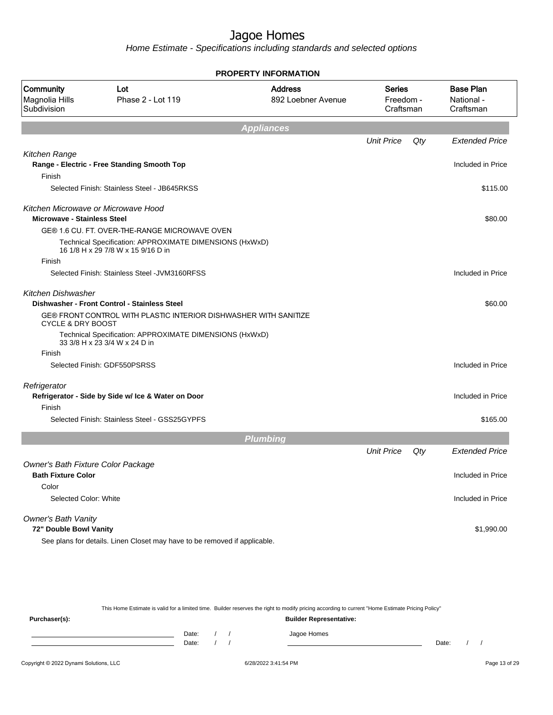Home Estimate - Specifications including standards and selected options

|                                            |                                                                                               | <b>PROPERTY INFORMATION</b>          |                                         |     |                                             |
|--------------------------------------------|-----------------------------------------------------------------------------------------------|--------------------------------------|-----------------------------------------|-----|---------------------------------------------|
| Community<br>Magnolia Hills<br>Subdivision | Lot<br>Phase 2 - Lot 119                                                                      | <b>Address</b><br>892 Loebner Avenue | <b>Series</b><br>Freedom -<br>Craftsman |     | <b>Base Plan</b><br>National -<br>Craftsman |
|                                            |                                                                                               | <b>Appliances</b>                    |                                         |     |                                             |
|                                            |                                                                                               |                                      | <b>Unit Price</b>                       | Qty | <b>Extended Price</b>                       |
| Kitchen Range                              | Range - Electric - Free Standing Smooth Top                                                   |                                      |                                         |     | Included in Price                           |
| Finish                                     |                                                                                               |                                      |                                         |     |                                             |
|                                            | Selected Finish: Stainless Steel - JB645RKSS                                                  |                                      |                                         |     | \$115.00                                    |
| <b>Microwave - Stainless Steel</b>         | Kitchen Microwave or Microwave Hood                                                           |                                      |                                         |     | \$80.00                                     |
|                                            | GE® 1.6 CU. FT. OVER-THE-RANGE MICROWAVE OVEN                                                 |                                      |                                         |     |                                             |
|                                            | Technical Specification: APPROXIMATE DIMENSIONS (HxWxD)<br>16 1/8 H x 29 7/8 W x 15 9/16 D in |                                      |                                         |     |                                             |
| Finish                                     |                                                                                               |                                      |                                         |     |                                             |
|                                            | Selected Finish: Stainless Steel - JVM3160RFSS                                                |                                      |                                         |     | Included in Price                           |
| Kitchen Dishwasher                         | Dishwasher - Front Control - Stainless Steel                                                  |                                      |                                         |     | \$60.00                                     |
| <b>CYCLE &amp; DRY BOOST</b>               | GE® FRONT CONTROL WITH PLASTIC INTERIOR DISHWASHER WITH SANITIZE                              |                                      |                                         |     |                                             |
|                                            | Technical Specification: APPROXIMATE DIMENSIONS (HxWxD)<br>33 3/8 H x 23 3/4 W x 24 D in      |                                      |                                         |     |                                             |
| Finish                                     |                                                                                               |                                      |                                         |     |                                             |
|                                            | Selected Finish: GDF550PSRSS                                                                  |                                      |                                         |     | Included in Price                           |
| Refrigerator                               | Refrigerator - Side by Side w/ Ice & Water on Door                                            |                                      |                                         |     | Included in Price                           |
| Finish                                     |                                                                                               |                                      |                                         |     |                                             |
|                                            | Selected Finish: Stainless Steel - GSS25GYPFS                                                 |                                      |                                         |     | \$165.00                                    |
|                                            |                                                                                               | <b>Plumbing</b>                      |                                         |     |                                             |
|                                            |                                                                                               |                                      | <b>Unit Price</b>                       | Qty | <b>Extended Price</b>                       |
| Owner's Bath Fixture Color Package         |                                                                                               |                                      |                                         |     |                                             |
| <b>Bath Fixture Color</b><br>Color         |                                                                                               |                                      |                                         |     | Included in Price                           |
| Selected Color: White                      |                                                                                               |                                      |                                         |     | Included in Price                           |
|                                            |                                                                                               |                                      |                                         |     |                                             |
| Owner's Bath Vanity                        |                                                                                               |                                      |                                         |     |                                             |
| 72" Double Bowl Vanity                     |                                                                                               |                                      |                                         |     | \$1,990.00                                  |
|                                            | See plans for details. Linen Closet may have to be removed if applicable.                     |                                      |                                         |     |                                             |

This Home Estimate is valid for a limited time. Builder reserves the right to modify pricing according to current "Home Estimate Pricing Policy"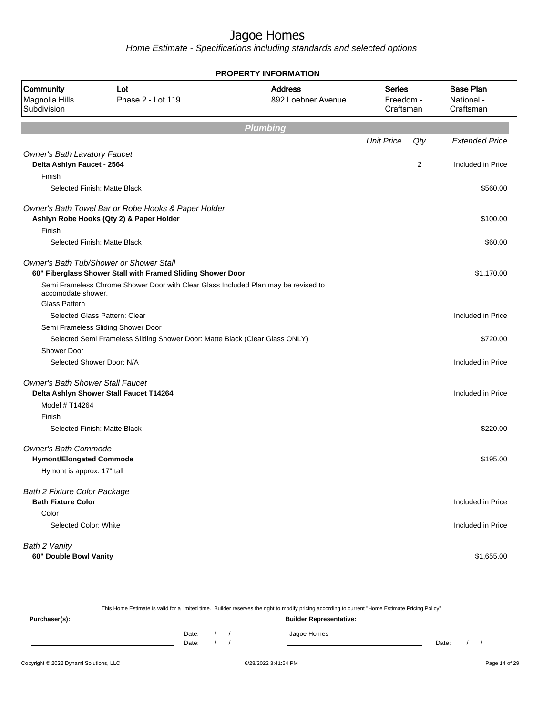Home Estimate - Specifications including standards and selected options

|                                                                        |                                                                                                               | <b>PROPERTY INFORMATION</b>          |                   |                                         |                                             |
|------------------------------------------------------------------------|---------------------------------------------------------------------------------------------------------------|--------------------------------------|-------------------|-----------------------------------------|---------------------------------------------|
| Community<br>Lot<br>Magnolia Hills<br>Phase 2 - Lot 119<br>Subdivision |                                                                                                               | <b>Address</b><br>892 Loebner Avenue |                   | <b>Series</b><br>Freedom -<br>Craftsman | <b>Base Plan</b><br>National -<br>Craftsman |
|                                                                        |                                                                                                               | <b>Plumbing</b>                      |                   |                                         |                                             |
|                                                                        |                                                                                                               |                                      | <b>Unit Price</b> | Qty                                     | <b>Extended Price</b>                       |
| <b>Owner's Bath Lavatory Faucet</b>                                    |                                                                                                               |                                      |                   |                                         |                                             |
| Delta Ashlyn Faucet - 2564                                             |                                                                                                               |                                      |                   | 2                                       | Included in Price                           |
| Finish                                                                 |                                                                                                               |                                      |                   |                                         |                                             |
|                                                                        | Selected Finish: Matte Black                                                                                  |                                      |                   |                                         | \$560.00                                    |
|                                                                        | Owner's Bath Towel Bar or Robe Hooks & Paper Holder<br>Ashlyn Robe Hooks (Qty 2) & Paper Holder               |                                      |                   |                                         | \$100.00                                    |
| Finish                                                                 |                                                                                                               |                                      |                   |                                         |                                             |
|                                                                        | Selected Finish: Matte Black                                                                                  |                                      |                   |                                         | \$60.00                                     |
|                                                                        | <b>Owner's Bath Tub/Shower or Shower Stall</b><br>60" Fiberglass Shower Stall with Framed Sliding Shower Door |                                      |                   |                                         | \$1,170.00                                  |
| accomodate shower.                                                     | Semi Frameless Chrome Shower Door with Clear Glass Included Plan may be revised to                            |                                      |                   |                                         |                                             |
| <b>Glass Pattern</b>                                                   |                                                                                                               |                                      |                   |                                         |                                             |
|                                                                        | Selected Glass Pattern: Clear                                                                                 |                                      |                   |                                         | Included in Price                           |
|                                                                        | Semi Frameless Sliding Shower Door                                                                            |                                      |                   |                                         |                                             |
|                                                                        | Selected Semi Frameless Sliding Shower Door: Matte Black (Clear Glass ONLY)                                   |                                      |                   |                                         | \$720.00                                    |
| <b>Shower Door</b>                                                     |                                                                                                               |                                      |                   |                                         |                                             |
|                                                                        | Selected Shower Door: N/A                                                                                     |                                      |                   |                                         | Included in Price                           |
| <b>Owner's Bath Shower Stall Faucet</b>                                |                                                                                                               |                                      |                   |                                         |                                             |
|                                                                        | Delta Ashlyn Shower Stall Faucet T14264                                                                       |                                      |                   |                                         | Included in Price                           |
| Model # T14264                                                         |                                                                                                               |                                      |                   |                                         |                                             |
| Finish                                                                 |                                                                                                               |                                      |                   |                                         |                                             |
|                                                                        | Selected Finish: Matte Black                                                                                  |                                      |                   |                                         | \$220.00                                    |
| <b>Owner's Bath Commode</b>                                            |                                                                                                               |                                      |                   |                                         |                                             |
| <b>Hymont/Elongated Commode</b>                                        |                                                                                                               |                                      |                   |                                         | \$195.00                                    |
| Hymont is approx. 17" tall                                             |                                                                                                               |                                      |                   |                                         |                                             |
| <b>Bath 2 Fixture Color Package</b><br><b>Bath Fixture Color</b>       |                                                                                                               |                                      |                   |                                         | Included in Price                           |
| Color                                                                  |                                                                                                               |                                      |                   |                                         |                                             |
| Selected Color: White                                                  |                                                                                                               |                                      |                   |                                         | Included in Price                           |
| Bath 2 Vanity                                                          |                                                                                                               |                                      |                   |                                         |                                             |
| 60" Double Bowl Vanity                                                 |                                                                                                               |                                      |                   |                                         | \$1,655.00                                  |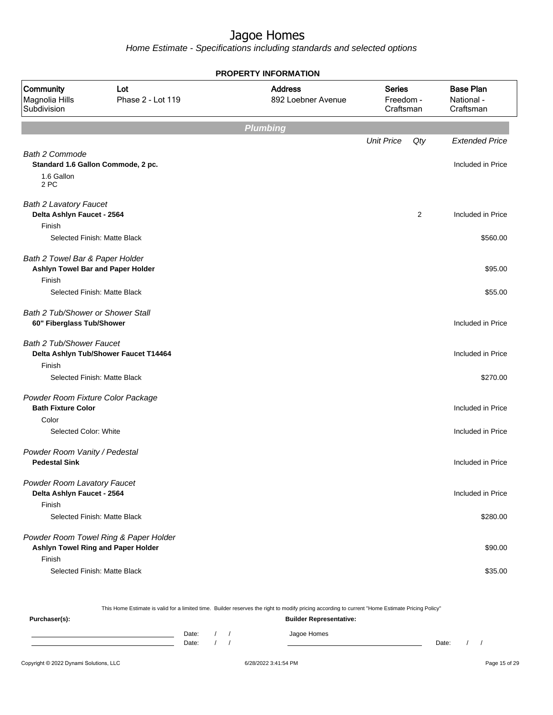Home Estimate - Specifications including standards and selected options

|                                                                                |                                                                             | <b>PROPERTY INFORMATION</b>          |                                         |                                             |
|--------------------------------------------------------------------------------|-----------------------------------------------------------------------------|--------------------------------------|-----------------------------------------|---------------------------------------------|
| Community<br>Magnolia Hills<br>Subdivision                                     | Lot<br>Phase 2 - Lot 119                                                    | <b>Address</b><br>892 Loebner Avenue | <b>Series</b><br>Freedom -<br>Craftsman | <b>Base Plan</b><br>National -<br>Craftsman |
|                                                                                |                                                                             | <b>Plumbing</b>                      |                                         |                                             |
|                                                                                |                                                                             |                                      | <b>Unit Price</b>                       | Qty<br><b>Extended Price</b>                |
| <b>Bath 2 Commode</b><br>1.6 Gallon<br>2 PC                                    | Standard 1.6 Gallon Commode, 2 pc.                                          |                                      |                                         | Included in Price                           |
| <b>Bath 2 Lavatory Faucet</b><br>Delta Ashlyn Faucet - 2564                    |                                                                             |                                      |                                         | 2<br>Included in Price                      |
| Finish                                                                         | Selected Finish: Matte Black                                                |                                      |                                         | \$560.00                                    |
| Bath 2 Towel Bar & Paper Holder<br>Ashlyn Towel Bar and Paper Holder<br>Finish |                                                                             |                                      |                                         | \$95.00                                     |
|                                                                                | Selected Finish: Matte Black                                                |                                      |                                         | \$55.00                                     |
| <b>Bath 2 Tub/Shower or Shower Stall</b><br>60" Fiberglass Tub/Shower          |                                                                             |                                      |                                         | Included in Price                           |
| Bath 2 Tub/Shower Faucet                                                       | Delta Ashlyn Tub/Shower Faucet T14464                                       |                                      |                                         | Included in Price                           |
| Finish                                                                         | Selected Finish: Matte Black                                                |                                      |                                         | \$270.00                                    |
| Powder Room Fixture Color Package<br><b>Bath Fixture Color</b>                 |                                                                             |                                      |                                         | Included in Price                           |
| Color<br>Selected Color: White                                                 |                                                                             |                                      |                                         | Included in Price                           |
| Powder Room Vanity / Pedestal<br><b>Pedestal Sink</b>                          |                                                                             |                                      |                                         | Included in Price                           |
| Powder Room Lavatory Faucet<br>Delta Ashlyn Faucet - 2564                      |                                                                             |                                      |                                         | Included in Price                           |
| Finish                                                                         | Selected Finish: Matte Black                                                |                                      |                                         | \$280.00                                    |
|                                                                                | Powder Room Towel Ring & Paper Holder<br>Ashlyn Towel Ring and Paper Holder |                                      |                                         | \$90.00                                     |
| Finish                                                                         | Selected Finish: Matte Black                                                |                                      |                                         | \$35.00                                     |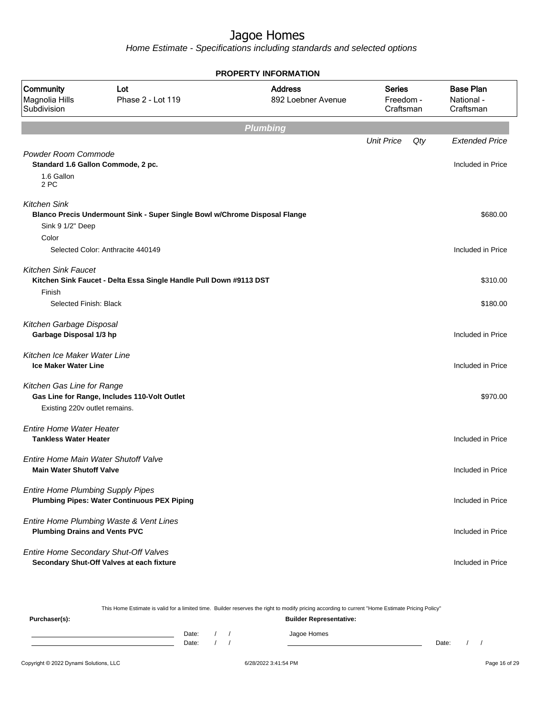Home Estimate - Specifications including standards and selected options

|                                                                         |                                                                                    | <b>PROPERTY INFORMATION</b>          |                                         |     |                                             |
|-------------------------------------------------------------------------|------------------------------------------------------------------------------------|--------------------------------------|-----------------------------------------|-----|---------------------------------------------|
| Community<br>Magnolia Hills<br>Subdivision                              | Lot<br>Phase 2 - Lot 119                                                           | <b>Address</b><br>892 Loebner Avenue | <b>Series</b><br>Freedom -<br>Craftsman |     | <b>Base Plan</b><br>National -<br>Craftsman |
|                                                                         |                                                                                    | <b>Plumbing</b>                      |                                         |     |                                             |
|                                                                         |                                                                                    |                                      | <b>Unit Price</b>                       | Qty | <b>Extended Price</b>                       |
| Powder Room Commode                                                     | Standard 1.6 Gallon Commode, 2 pc.                                                 |                                      |                                         |     | Included in Price                           |
| 1.6 Gallon<br>2 PC                                                      |                                                                                    |                                      |                                         |     |                                             |
| <b>Kitchen Sink</b>                                                     | Blanco Precis Undermount Sink - Super Single Bowl w/Chrome Disposal Flange         |                                      |                                         |     | \$680.00                                    |
| Sink 9 1/2" Deep<br>Color                                               |                                                                                    |                                      |                                         |     |                                             |
|                                                                         | Selected Color: Anthracite 440149                                                  |                                      |                                         |     | Included in Price                           |
| <b>Kitchen Sink Faucet</b>                                              | Kitchen Sink Faucet - Delta Essa Single Handle Pull Down #9113 DST                 |                                      |                                         |     | \$310.00                                    |
| Finish                                                                  |                                                                                    |                                      |                                         |     |                                             |
| Selected Finish: Black                                                  |                                                                                    |                                      |                                         |     | \$180.00                                    |
| Kitchen Garbage Disposal<br>Garbage Disposal 1/3 hp                     |                                                                                    |                                      |                                         |     | Included in Price                           |
| Kitchen Ice Maker Water Line<br><b>Ice Maker Water Line</b>             |                                                                                    |                                      |                                         |     | Included in Price                           |
| Kitchen Gas Line for Range                                              |                                                                                    |                                      |                                         |     |                                             |
| Existing 220v outlet remains.                                           | Gas Line for Range, Includes 110-Volt Outlet                                       |                                      |                                         |     | \$970.00                                    |
| <b>Entire Home Water Heater</b><br><b>Tankless Water Heater</b>         |                                                                                    |                                      |                                         |     | Included in Price                           |
|                                                                         |                                                                                    |                                      |                                         |     |                                             |
| Entire Home Main Water Shutoff Valve<br><b>Main Water Shutoff Valve</b> |                                                                                    |                                      |                                         |     | Included in Price                           |
| <b>Entire Home Plumbing Supply Pipes</b>                                | <b>Plumbing Pipes: Water Continuous PEX Piping</b>                                 |                                      |                                         |     | Included in Price                           |
| <b>Plumbing Drains and Vents PVC</b>                                    | Entire Home Plumbing Waste & Vent Lines                                            |                                      |                                         |     | Included in Price                           |
|                                                                         | Entire Home Secondary Shut-Off Valves<br>Secondary Shut-Off Valves at each fixture |                                      |                                         |     | Included in Price                           |

This Home Estimate is valid for a limited time. Builder reserves the right to modify pricing according to current "Home Estimate Pricing Policy"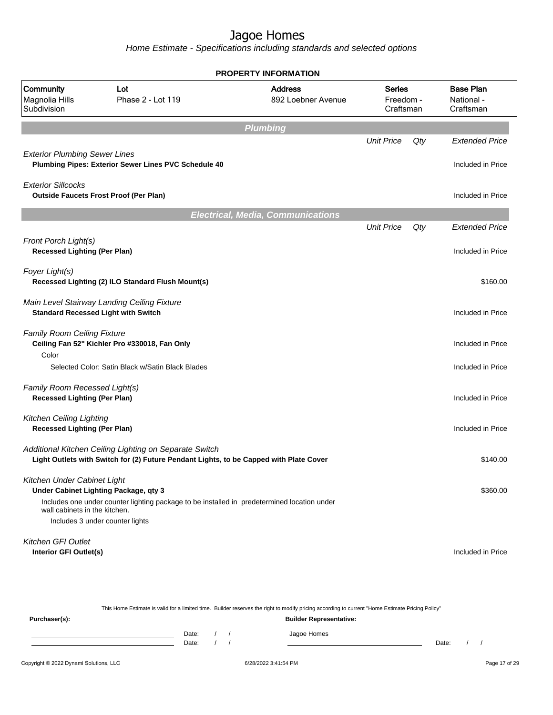|                                                                        |                                                                                                                                                  | <b>PROPERTY INFORMATION</b>              |                                         |     |                                             |
|------------------------------------------------------------------------|--------------------------------------------------------------------------------------------------------------------------------------------------|------------------------------------------|-----------------------------------------|-----|---------------------------------------------|
| Community<br>Magnolia Hills<br>Subdivision                             | Lot<br>Phase 2 - Lot 119                                                                                                                         | <b>Address</b><br>892 Loebner Avenue     | <b>Series</b><br>Freedom -<br>Craftsman |     | <b>Base Plan</b><br>National -<br>Craftsman |
|                                                                        |                                                                                                                                                  | <b>Plumbing</b>                          |                                         |     |                                             |
|                                                                        |                                                                                                                                                  |                                          | <b>Unit Price</b>                       | Qty | <b>Extended Price</b>                       |
| <b>Exterior Plumbing Sewer Lines</b>                                   | Plumbing Pipes: Exterior Sewer Lines PVC Schedule 40                                                                                             |                                          |                                         |     | Included in Price                           |
| <b>Exterior Sillcocks</b>                                              | <b>Outside Faucets Frost Proof (Per Plan)</b>                                                                                                    |                                          |                                         |     | Included in Price                           |
|                                                                        |                                                                                                                                                  | <b>Electrical, Media, Communications</b> |                                         |     |                                             |
|                                                                        |                                                                                                                                                  |                                          | <b>Unit Price</b>                       | Qty | <b>Extended Price</b>                       |
| Front Porch Light(s)<br><b>Recessed Lighting (Per Plan)</b>            |                                                                                                                                                  |                                          |                                         |     | Included in Price                           |
| Foyer Light(s)                                                         | Recessed Lighting (2) ILO Standard Flush Mount(s)                                                                                                |                                          |                                         |     | \$160.00                                    |
|                                                                        | Main Level Stairway Landing Ceiling Fixture<br><b>Standard Recessed Light with Switch</b>                                                        |                                          |                                         |     | Included in Price                           |
| <b>Family Room Ceiling Fixture</b><br>Color                            | Ceiling Fan 52" Kichler Pro #330018, Fan Only                                                                                                    |                                          |                                         |     | Included in Price                           |
|                                                                        | Selected Color: Satin Black w/Satin Black Blades                                                                                                 |                                          |                                         |     | Included in Price                           |
| Family Room Recessed Light(s)<br><b>Recessed Lighting (Per Plan)</b>   |                                                                                                                                                  |                                          |                                         |     | Included in Price                           |
| <b>Kitchen Ceiling Lighting</b><br><b>Recessed Lighting (Per Plan)</b> |                                                                                                                                                  |                                          |                                         |     | Included in Price                           |
|                                                                        | Additional Kitchen Ceiling Lighting on Separate Switch<br>Light Outlets with Switch for (2) Future Pendant Lights, to be Capped with Plate Cover |                                          |                                         |     | \$140.00                                    |
| Kitchen Under Cabinet Light                                            | Under Cabinet Lighting Package, qty 3                                                                                                            |                                          |                                         |     | \$360.00                                    |
| wall cabinets in the kitchen.                                          | Includes one under counter lighting package to be installed in predetermined location under<br>Includes 3 under counter lights                   |                                          |                                         |     |                                             |
| <b>Kitchen GFI Outlet</b><br>Interior GFI Outlet(s)                    |                                                                                                                                                  |                                          |                                         |     | Included in Price                           |

|               |       |  | This Home Estimate is valid for a limited time. Builder reserves the right to modify pricing according to current "Home Estimate Pricing Policy" |       |  |
|---------------|-------|--|--------------------------------------------------------------------------------------------------------------------------------------------------|-------|--|
| Purchaser(s): |       |  | <b>Builder Representative:</b>                                                                                                                   |       |  |
|               | Date: |  | Jagoe Homes                                                                                                                                      |       |  |
|               | Date: |  |                                                                                                                                                  | Date: |  |
|               |       |  |                                                                                                                                                  |       |  |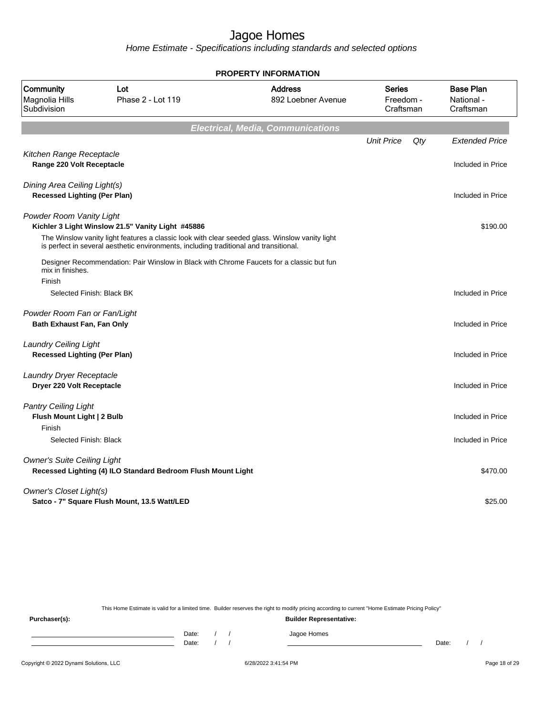Home Estimate - Specifications including standards and selected options

|                                                                     |                                                                                                                                                                                                                                                                                     | <b>PROPERTY INFORMATION</b>              |                                         |                                             |
|---------------------------------------------------------------------|-------------------------------------------------------------------------------------------------------------------------------------------------------------------------------------------------------------------------------------------------------------------------------------|------------------------------------------|-----------------------------------------|---------------------------------------------|
| Community<br>Magnolia Hills<br>Subdivision                          | Lot<br>Phase 2 - Lot 119                                                                                                                                                                                                                                                            | <b>Address</b><br>892 Loebner Avenue     | <b>Series</b><br>Freedom -<br>Craftsman | <b>Base Plan</b><br>National -<br>Craftsman |
|                                                                     |                                                                                                                                                                                                                                                                                     | <b>Electrical, Media, Communications</b> |                                         |                                             |
| Kitchen Range Receptacle<br>Range 220 Volt Receptacle               |                                                                                                                                                                                                                                                                                     |                                          | <b>Unit Price</b><br>Qty                | <b>Extended Price</b><br>Included in Price  |
| Dining Area Ceiling Light(s)<br><b>Recessed Lighting (Per Plan)</b> |                                                                                                                                                                                                                                                                                     |                                          |                                         | Included in Price                           |
| Powder Room Vanity Light                                            | Kichler 3 Light Winslow 21.5" Vanity Light #45886                                                                                                                                                                                                                                   |                                          |                                         | \$190.00                                    |
| mix in finishes.<br>Finish                                          | The Winslow vanity light features a classic look with clear seeded glass. Winslow vanity light<br>is perfect in several aesthetic environments, including traditional and transitional.<br>Designer Recommendation: Pair Winslow in Black with Chrome Faucets for a classic but fun |                                          |                                         |                                             |
| Selected Finish: Black BK                                           |                                                                                                                                                                                                                                                                                     |                                          |                                         | Included in Price                           |
| Powder Room Fan or Fan/Light<br><b>Bath Exhaust Fan, Fan Only</b>   |                                                                                                                                                                                                                                                                                     |                                          |                                         | Included in Price                           |
| <b>Laundry Ceiling Light</b><br><b>Recessed Lighting (Per Plan)</b> |                                                                                                                                                                                                                                                                                     |                                          |                                         | Included in Price                           |
| Laundry Dryer Receptacle<br>Dryer 220 Volt Receptacle               |                                                                                                                                                                                                                                                                                     |                                          |                                         | Included in Price                           |
| <b>Pantry Ceiling Light</b><br>Flush Mount Light   2 Bulb<br>Finish |                                                                                                                                                                                                                                                                                     |                                          |                                         | Included in Price                           |
| Selected Finish: Black                                              |                                                                                                                                                                                                                                                                                     |                                          |                                         | Included in Price                           |
| <b>Owner's Suite Ceiling Light</b>                                  | Recessed Lighting (4) ILO Standard Bedroom Flush Mount Light                                                                                                                                                                                                                        |                                          |                                         | \$470.00                                    |
| <b>Owner's Closet Light(s)</b>                                      | Satco - 7" Square Flush Mount, 13.5 Watt/LED                                                                                                                                                                                                                                        |                                          |                                         | \$25.00                                     |

This Home Estimate is valid for a limited time. Builder reserves the right to modify pricing according to current "Home Estimate Pricing Policy"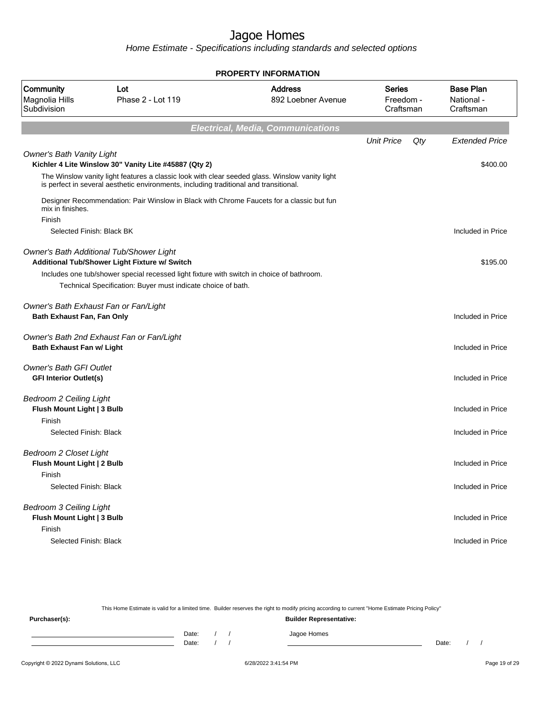Home Estimate - Specifications including standards and selected options

| <b>PROPERTY INFORMATION</b>                                            |                                                                                                                                                                                         |                                          |                                  |     |                                             |  |  |  |
|------------------------------------------------------------------------|-----------------------------------------------------------------------------------------------------------------------------------------------------------------------------------------|------------------------------------------|----------------------------------|-----|---------------------------------------------|--|--|--|
| <b>Community</b><br>Magnolia Hills<br>Subdivision                      | Lot<br>Phase 2 - Lot 119                                                                                                                                                                | <b>Address</b><br>892 Loebner Avenue     | Series<br>Freedom -<br>Craftsman |     | <b>Base Plan</b><br>National -<br>Craftsman |  |  |  |
|                                                                        |                                                                                                                                                                                         | <b>Electrical, Media, Communications</b> |                                  |     |                                             |  |  |  |
|                                                                        |                                                                                                                                                                                         |                                          | <b>Unit Price</b>                | Qty | <b>Extended Price</b>                       |  |  |  |
| <b>Owner's Bath Vanity Light</b>                                       | Kichler 4 Lite Winslow 30" Vanity Lite #45887 (Qty 2)                                                                                                                                   |                                          |                                  |     | \$400.00                                    |  |  |  |
|                                                                        | The Winslow vanity light features a classic look with clear seeded glass. Winslow vanity light<br>is perfect in several aesthetic environments, including traditional and transitional. |                                          |                                  |     |                                             |  |  |  |
| mix in finishes.                                                       | Designer Recommendation: Pair Winslow in Black with Chrome Faucets for a classic but fun                                                                                                |                                          |                                  |     |                                             |  |  |  |
| Finish<br>Selected Finish: Black BK                                    |                                                                                                                                                                                         |                                          |                                  |     | Included in Price                           |  |  |  |
|                                                                        | Owner's Bath Additional Tub/Shower Light<br>Additional Tub/Shower Light Fixture w/ Switch                                                                                               |                                          |                                  |     | \$195.00                                    |  |  |  |
|                                                                        | Includes one tub/shower special recessed light fixture with switch in choice of bathroom.<br>Technical Specification: Buyer must indicate choice of bath.                               |                                          |                                  |     |                                             |  |  |  |
| Bath Exhaust Fan, Fan Only                                             | Owner's Bath Exhaust Fan or Fan/Light                                                                                                                                                   |                                          |                                  |     | Included in Price                           |  |  |  |
| <b>Bath Exhaust Fan w/ Light</b>                                       | Owner's Bath 2nd Exhaust Fan or Fan/Light                                                                                                                                               |                                          |                                  |     | Included in Price                           |  |  |  |
| <b>Owner's Bath GFI Outlet</b><br><b>GFI Interior Outlet(s)</b>        |                                                                                                                                                                                         |                                          |                                  |     | Included in Price                           |  |  |  |
| <b>Bedroom 2 Ceiling Light</b><br>Flush Mount Light   3 Bulb           |                                                                                                                                                                                         |                                          |                                  |     | Included in Price                           |  |  |  |
| Finish<br>Selected Finish: Black                                       |                                                                                                                                                                                         |                                          |                                  |     | Included in Price                           |  |  |  |
| <b>Bedroom 2 Closet Light</b><br>Flush Mount Light   2 Bulb            |                                                                                                                                                                                         |                                          |                                  |     | Included in Price                           |  |  |  |
| Finish<br>Selected Finish: Black                                       |                                                                                                                                                                                         |                                          |                                  |     | Included in Price                           |  |  |  |
| <b>Bedroom 3 Ceiling Light</b><br>Flush Mount Light   3 Bulb<br>Finish |                                                                                                                                                                                         |                                          |                                  |     | Included in Price                           |  |  |  |
| Selected Finish: Black                                                 |                                                                                                                                                                                         |                                          |                                  |     | Included in Price                           |  |  |  |

This Home Estimate is valid for a limited time. Builder reserves the right to modify pricing according to current "Home Estimate Pricing Policy" **Purchaser(s): Builder Representative:**

Date: / / Jagoe Homes<br>Date: / / Jagoe Homes Date: / / Date: / /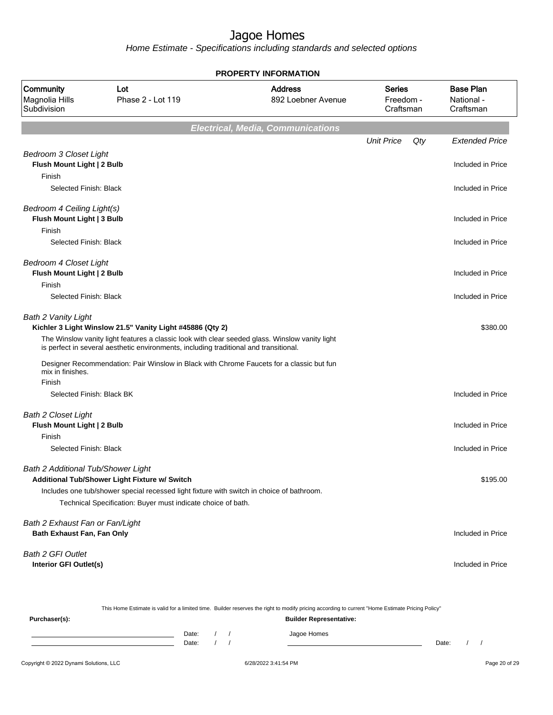Home Estimate - Specifications including standards and selected options

|                                                                       |                                                                                                                                                                                                                                                      | <b>PROPERTY INFORMATION</b>              |                   |                                                                       |
|-----------------------------------------------------------------------|------------------------------------------------------------------------------------------------------------------------------------------------------------------------------------------------------------------------------------------------------|------------------------------------------|-------------------|-----------------------------------------------------------------------|
| Community<br>Magnolia Hills<br>Subdivision                            | Lot<br>Phase 2 - Lot 119                                                                                                                                                                                                                             | <b>Address</b><br>892 Loebner Avenue     |                   | <b>Base Plan</b><br>Freedom -<br>National -<br>Craftsman<br>Craftsman |
|                                                                       |                                                                                                                                                                                                                                                      | <b>Electrical, Media, Communications</b> |                   |                                                                       |
|                                                                       |                                                                                                                                                                                                                                                      |                                          | <b>Unit Price</b> | Qty<br><b>Extended Price</b>                                          |
| <b>Bedroom 3 Closet Light</b><br>Flush Mount Light   2 Bulb<br>Finish |                                                                                                                                                                                                                                                      |                                          |                   | Included in Price                                                     |
| Selected Finish: Black                                                |                                                                                                                                                                                                                                                      |                                          |                   | Included in Price                                                     |
| Bedroom 4 Ceiling Light(s)<br>Flush Mount Light   3 Bulb              |                                                                                                                                                                                                                                                      |                                          |                   | Included in Price                                                     |
| Finish<br>Selected Finish: Black                                      |                                                                                                                                                                                                                                                      |                                          |                   | Included in Price                                                     |
| Bedroom 4 Closet Light<br>Flush Mount Light   2 Bulb<br>Finish        |                                                                                                                                                                                                                                                      |                                          |                   | Included in Price                                                     |
| Selected Finish: Black                                                |                                                                                                                                                                                                                                                      |                                          |                   | Included in Price                                                     |
| <b>Bath 2 Vanity Light</b>                                            | Kichler 3 Light Winslow 21.5" Vanity Light #45886 (Qty 2)<br>The Winslow vanity light features a classic look with clear seeded glass. Winslow vanity light<br>is perfect in several aesthetic environments, including traditional and transitional. |                                          |                   | \$380.00                                                              |
| mix in finishes.                                                      | Designer Recommendation: Pair Winslow in Black with Chrome Faucets for a classic but fun                                                                                                                                                             |                                          |                   |                                                                       |
| Finish                                                                |                                                                                                                                                                                                                                                      |                                          |                   |                                                                       |
| Selected Finish: Black BK                                             |                                                                                                                                                                                                                                                      |                                          |                   | Included in Price                                                     |
| <b>Bath 2 Closet Light</b><br>Flush Mount Light   2 Bulb              |                                                                                                                                                                                                                                                      |                                          |                   | Included in Price                                                     |
| Finish<br>Selected Finish: Black                                      |                                                                                                                                                                                                                                                      |                                          |                   | Included in Price                                                     |
|                                                                       |                                                                                                                                                                                                                                                      |                                          |                   |                                                                       |
| Bath 2 Additional Tub/Shower Light                                    | Additional Tub/Shower Light Fixture w/ Switch                                                                                                                                                                                                        |                                          |                   | \$195.00                                                              |
|                                                                       | Includes one tub/shower special recessed light fixture with switch in choice of bathroom.                                                                                                                                                            |                                          |                   |                                                                       |
|                                                                       | Technical Specification: Buyer must indicate choice of bath.                                                                                                                                                                                         |                                          |                   |                                                                       |
| Bath 2 Exhaust Fan or Fan/Light                                       |                                                                                                                                                                                                                                                      |                                          |                   |                                                                       |
| Bath Exhaust Fan, Fan Only                                            |                                                                                                                                                                                                                                                      |                                          |                   | Included in Price                                                     |
| Bath 2 GFI Outlet                                                     |                                                                                                                                                                                                                                                      |                                          |                   |                                                                       |
| <b>Interior GFI Outlet(s)</b>                                         |                                                                                                                                                                                                                                                      |                                          |                   | Included in Price                                                     |
|                                                                       |                                                                                                                                                                                                                                                      |                                          |                   |                                                                       |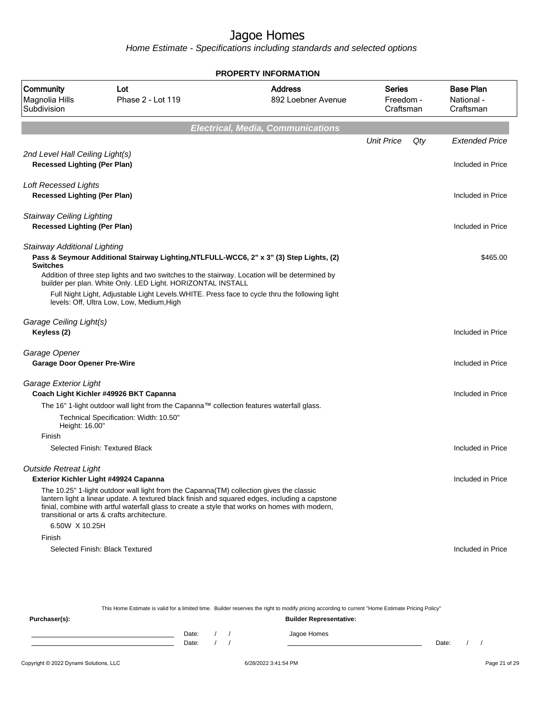Home Estimate - Specifications including standards and selected options

|                                                                         |                                                                                                                                                                                                                                                                                                                                             | <b>PROPERTY INFORMATION</b>              |                                         |     |                                             |
|-------------------------------------------------------------------------|---------------------------------------------------------------------------------------------------------------------------------------------------------------------------------------------------------------------------------------------------------------------------------------------------------------------------------------------|------------------------------------------|-----------------------------------------|-----|---------------------------------------------|
| Community<br>Magnolia Hills<br>Subdivision                              | Lot<br>Phase 2 - Lot 119                                                                                                                                                                                                                                                                                                                    | <b>Address</b><br>892 Loebner Avenue     | <b>Series</b><br>Freedom -<br>Craftsman |     | <b>Base Plan</b><br>National -<br>Craftsman |
|                                                                         |                                                                                                                                                                                                                                                                                                                                             | <b>Electrical, Media, Communications</b> |                                         |     |                                             |
|                                                                         |                                                                                                                                                                                                                                                                                                                                             |                                          | <b>Unit Price</b>                       | Qty | <b>Extended Price</b>                       |
| 2nd Level Hall Ceiling Light(s)<br><b>Recessed Lighting (Per Plan)</b>  |                                                                                                                                                                                                                                                                                                                                             |                                          |                                         |     | Included in Price                           |
| <b>Loft Recessed Lights</b><br><b>Recessed Lighting (Per Plan)</b>      |                                                                                                                                                                                                                                                                                                                                             |                                          |                                         |     | Included in Price                           |
| <b>Stairway Ceiling Lighting</b><br><b>Recessed Lighting (Per Plan)</b> |                                                                                                                                                                                                                                                                                                                                             |                                          |                                         |     | Included in Price                           |
| <b>Stairway Additional Lighting</b><br><b>Switches</b>                  | Pass & Seymour Additional Stairway Lighting, NTLFULL-WCC6, 2" x 3" (3) Step Lights, (2)                                                                                                                                                                                                                                                     |                                          |                                         |     | \$465.00                                    |
|                                                                         | Addition of three step lights and two switches to the stairway. Location will be determined by<br>builder per plan. White Only. LED Light. HORIZONTAL INSTALL<br>Full Night Light, Adjustable Light Levels. WHITE. Press face to cycle thru the following light<br>levels: Off, Ultra Low, Low, Medium, High                                |                                          |                                         |     |                                             |
| Garage Ceiling Light(s)<br>Keyless (2)                                  |                                                                                                                                                                                                                                                                                                                                             |                                          |                                         |     | Included in Price                           |
| Garage Opener<br><b>Garage Door Opener Pre-Wire</b>                     |                                                                                                                                                                                                                                                                                                                                             |                                          |                                         |     | Included in Price                           |
| Garage Exterior Light                                                   | Coach Light Kichler #49926 BKT Capanna                                                                                                                                                                                                                                                                                                      |                                          |                                         |     | Included in Price                           |
|                                                                         | The 16" 1-light outdoor wall light from the Capanna™ collection features waterfall glass.<br>Technical Specification: Width: 10.50"                                                                                                                                                                                                         |                                          |                                         |     |                                             |
| Height: 16.00"<br>Finish                                                |                                                                                                                                                                                                                                                                                                                                             |                                          |                                         |     |                                             |
|                                                                         | Selected Finish: Textured Black                                                                                                                                                                                                                                                                                                             |                                          |                                         |     | Included in Price                           |
| <b>Outside Retreat Light</b>                                            | Exterior Kichler Light #49924 Capanna                                                                                                                                                                                                                                                                                                       |                                          |                                         |     | Included in Price                           |
|                                                                         | The 10.25" 1-light outdoor wall light from the Capanna (TM) collection gives the classic<br>lantern light a linear update. A textured black finish and squared edges, including a capstone<br>finial, combine with artful waterfall glass to create a style that works on homes with modern,<br>transitional or arts & crafts architecture. |                                          |                                         |     |                                             |
| 6.50W X 10.25H                                                          |                                                                                                                                                                                                                                                                                                                                             |                                          |                                         |     |                                             |
| Finish                                                                  | Selected Finish: Black Textured                                                                                                                                                                                                                                                                                                             |                                          |                                         |     | Included in Price                           |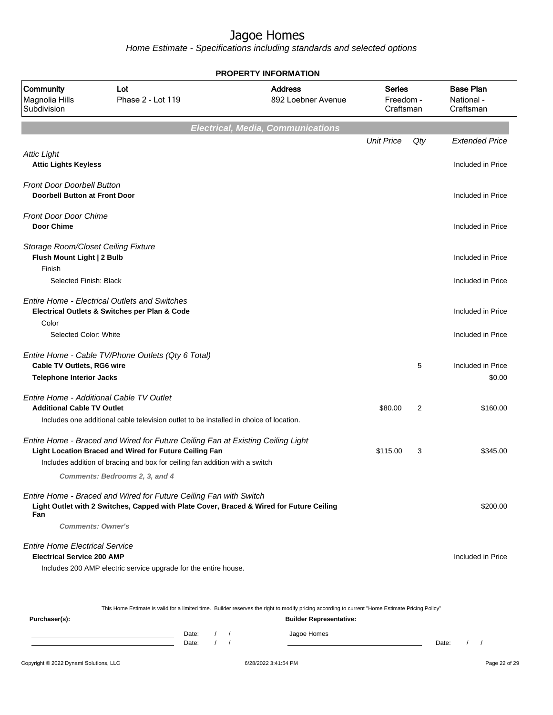Home Estimate - Specifications including standards and selected options

| <b>Address</b><br><b>Series</b><br><b>Community</b><br>Lot<br>Magnolia Hills<br>Phase 2 - Lot 119<br>892 Loebner Avenue<br>Subdivision<br><b>Electrical, Media, Communications</b><br><b>Unit Price</b><br><b>Attic Light</b><br><b>Attic Lights Keyless</b><br><b>Front Door Doorbell Button</b><br><b>Doorbell Button at Front Door</b><br><b>Front Door Door Chime</b><br><b>Door Chime</b><br>Storage Room/Closet Ceiling Fixture |                        |                                             |
|---------------------------------------------------------------------------------------------------------------------------------------------------------------------------------------------------------------------------------------------------------------------------------------------------------------------------------------------------------------------------------------------------------------------------------------|------------------------|---------------------------------------------|
|                                                                                                                                                                                                                                                                                                                                                                                                                                       | Freedom -<br>Craftsman | <b>Base Plan</b><br>National -<br>Craftsman |
|                                                                                                                                                                                                                                                                                                                                                                                                                                       |                        |                                             |
|                                                                                                                                                                                                                                                                                                                                                                                                                                       | Qty                    | <b>Extended Price</b>                       |
|                                                                                                                                                                                                                                                                                                                                                                                                                                       |                        | Included in Price                           |
|                                                                                                                                                                                                                                                                                                                                                                                                                                       |                        | Included in Price                           |
|                                                                                                                                                                                                                                                                                                                                                                                                                                       |                        | Included in Price                           |
| Flush Mount Light   2 Bulb<br>Finish                                                                                                                                                                                                                                                                                                                                                                                                  |                        | Included in Price                           |
| Selected Finish: Black                                                                                                                                                                                                                                                                                                                                                                                                                |                        | Included in Price                           |
| <b>Entire Home - Electrical Outlets and Switches</b><br>Electrical Outlets & Switches per Plan & Code<br>Color                                                                                                                                                                                                                                                                                                                        |                        | Included in Price                           |
| Selected Color: White                                                                                                                                                                                                                                                                                                                                                                                                                 |                        | Included in Price                           |
| Entire Home - Cable TV/Phone Outlets (Qty 6 Total)<br><b>Cable TV Outlets, RG6 wire</b><br><b>Telephone Interior Jacks</b>                                                                                                                                                                                                                                                                                                            | 5                      | Included in Price<br>\$0.00                 |
|                                                                                                                                                                                                                                                                                                                                                                                                                                       |                        |                                             |
| Entire Home - Additional Cable TV Outlet<br><b>Additional Cable TV Outlet</b><br>\$80.00                                                                                                                                                                                                                                                                                                                                              | 2                      | \$160.00                                    |
| Includes one additional cable television outlet to be installed in choice of location.                                                                                                                                                                                                                                                                                                                                                |                        |                                             |
| Entire Home - Braced and Wired for Future Ceiling Fan at Existing Ceiling Light<br>Light Location Braced and Wired for Future Ceiling Fan<br>\$115.00<br>Includes addition of bracing and box for ceiling fan addition with a switch                                                                                                                                                                                                  | 3                      | \$345.00                                    |
| Comments: Bedrooms 2, 3, and 4                                                                                                                                                                                                                                                                                                                                                                                                        |                        |                                             |
| Entire Home - Braced and Wired for Future Ceiling Fan with Switch<br>Light Outlet with 2 Switches, Capped with Plate Cover, Braced & Wired for Future Ceiling<br>Fan                                                                                                                                                                                                                                                                  |                        | \$200.00                                    |
| <b>Comments: Owner's</b>                                                                                                                                                                                                                                                                                                                                                                                                              |                        |                                             |
| <b>Entire Home Electrical Service</b><br><b>Electrical Service 200 AMP</b>                                                                                                                                                                                                                                                                                                                                                            |                        | Included in Price                           |
| Includes 200 AMP electric service upgrade for the entire house.                                                                                                                                                                                                                                                                                                                                                                       |                        |                                             |
|                                                                                                                                                                                                                                                                                                                                                                                                                                       |                        |                                             |

This Home Estimate is valid for a limited time. Builder reserves the right to modify pricing according to current "Home Estimate Pricing Policy"

| Purchaser(s): |       |  | <b>Builder Representative:</b> |       |  |
|---------------|-------|--|--------------------------------|-------|--|
|               | Date: |  | Jagoe Homes                    |       |  |
|               | Date: |  |                                | Date: |  |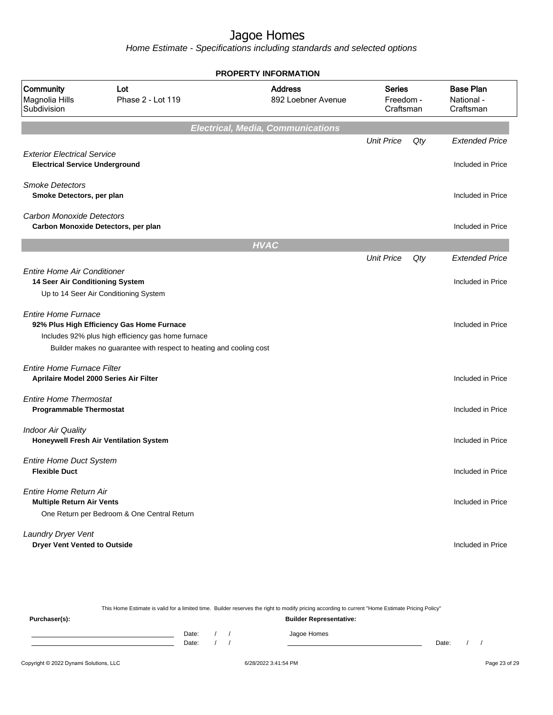Home Estimate - Specifications including standards and selected options

| <b>PROPERTY INFORMATION</b>                                                 |                                                                                                                                                                        |                                          |                                         |     |                                             |  |  |  |  |
|-----------------------------------------------------------------------------|------------------------------------------------------------------------------------------------------------------------------------------------------------------------|------------------------------------------|-----------------------------------------|-----|---------------------------------------------|--|--|--|--|
| Community<br>Magnolia Hills<br>Subdivision                                  | Lot<br>Phase 2 - Lot 119                                                                                                                                               | <b>Address</b><br>892 Loebner Avenue     | <b>Series</b><br>Freedom -<br>Craftsman |     | <b>Base Plan</b><br>National -<br>Craftsman |  |  |  |  |
|                                                                             |                                                                                                                                                                        | <b>Electrical, Media, Communications</b> |                                         |     |                                             |  |  |  |  |
| <b>Exterior Electrical Service</b><br><b>Electrical Service Underground</b> |                                                                                                                                                                        |                                          | <b>Unit Price</b>                       | Qty | <b>Extended Price</b><br>Included in Price  |  |  |  |  |
| <b>Smoke Detectors</b><br>Smoke Detectors, per plan                         |                                                                                                                                                                        |                                          |                                         |     | Included in Price                           |  |  |  |  |
| Carbon Monoxide Detectors                                                   | Carbon Monoxide Detectors, per plan                                                                                                                                    |                                          |                                         |     | Included in Price                           |  |  |  |  |
|                                                                             |                                                                                                                                                                        | <b>HVAC</b>                              |                                         |     |                                             |  |  |  |  |
|                                                                             |                                                                                                                                                                        |                                          | <b>Unit Price</b>                       | Qty | <b>Extended Price</b>                       |  |  |  |  |
| <b>Entire Home Air Conditioner</b><br>14 Seer Air Conditioning System       | Up to 14 Seer Air Conditioning System                                                                                                                                  |                                          |                                         |     | Included in Price                           |  |  |  |  |
| <b>Entire Home Furnace</b>                                                  | 92% Plus High Efficiency Gas Home Furnace<br>Includes 92% plus high efficiency gas home furnace<br>Builder makes no guarantee with respect to heating and cooling cost |                                          |                                         |     | Included in Price                           |  |  |  |  |
| Entire Home Furnace Filter                                                  | Aprilaire Model 2000 Series Air Filter                                                                                                                                 |                                          |                                         |     | Included in Price                           |  |  |  |  |
| <b>Entire Home Thermostat</b><br><b>Programmable Thermostat</b>             |                                                                                                                                                                        |                                          |                                         |     | Included in Price                           |  |  |  |  |
| <b>Indoor Air Quality</b>                                                   | Honeywell Fresh Air Ventilation System                                                                                                                                 |                                          |                                         |     | Included in Price                           |  |  |  |  |
| <b>Entire Home Duct System</b><br><b>Flexible Duct</b>                      |                                                                                                                                                                        |                                          |                                         |     | Included in Price                           |  |  |  |  |
| Entire Home Return Air<br><b>Multiple Return Air Vents</b>                  | One Return per Bedroom & One Central Return                                                                                                                            |                                          |                                         |     | Included in Price                           |  |  |  |  |
| Laundry Dryer Vent<br><b>Dryer Vent Vented to Outside</b>                   |                                                                                                                                                                        |                                          |                                         |     | Included in Price                           |  |  |  |  |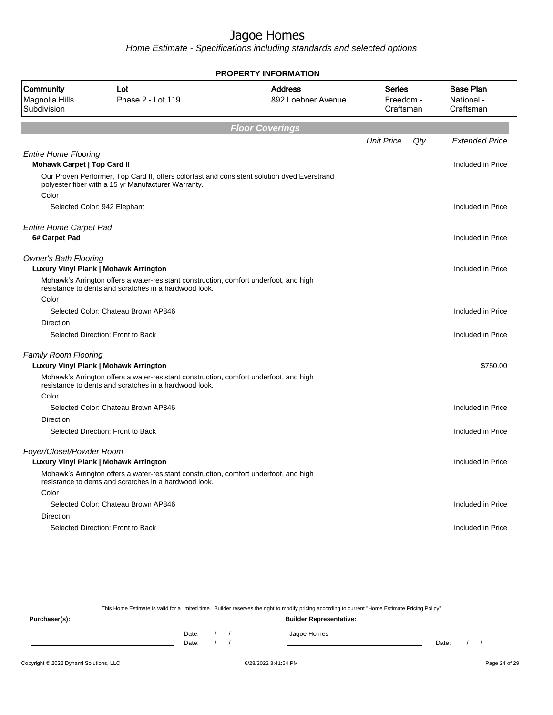Home Estimate - Specifications including standards and selected options

|                                                                   |                                                                                                                                                    | <b>PROPERTY INFORMATION</b>                                                     |                   |     |                                             |  |  |  |  |  |
|-------------------------------------------------------------------|----------------------------------------------------------------------------------------------------------------------------------------------------|---------------------------------------------------------------------------------|-------------------|-----|---------------------------------------------|--|--|--|--|--|
| Community<br>Magnolia Hills<br>Subdivision                        | Lot<br>Phase 2 - Lot 119                                                                                                                           | <b>Address</b><br><b>Series</b><br>892 Loebner Avenue<br>Freedom -<br>Craftsman |                   |     | <b>Base Plan</b><br>National -<br>Craftsman |  |  |  |  |  |
| <b>Floor Coverings</b>                                            |                                                                                                                                                    |                                                                                 |                   |     |                                             |  |  |  |  |  |
|                                                                   |                                                                                                                                                    |                                                                                 | <b>Unit Price</b> | Qty | <b>Extended Price</b>                       |  |  |  |  |  |
| <b>Entire Home Flooring</b><br><b>Mohawk Carpet   Top Card II</b> |                                                                                                                                                    |                                                                                 |                   |     | Included in Price                           |  |  |  |  |  |
| Color                                                             | Our Proven Performer, Top Card II, offers colorfast and consistent solution dyed Everstrand<br>polyester fiber with a 15 yr Manufacturer Warranty. |                                                                                 |                   |     |                                             |  |  |  |  |  |
|                                                                   | Selected Color: 942 Elephant                                                                                                                       |                                                                                 |                   |     | Included in Price                           |  |  |  |  |  |
| <b>Entire Home Carpet Pad</b><br>6# Carpet Pad                    |                                                                                                                                                    |                                                                                 |                   |     | Included in Price                           |  |  |  |  |  |
| <b>Owner's Bath Flooring</b>                                      | Luxury Vinyl Plank   Mohawk Arrington                                                                                                              |                                                                                 |                   |     | Included in Price                           |  |  |  |  |  |
|                                                                   | Mohawk's Arrington offers a water-resistant construction, comfort underfoot, and high<br>resistance to dents and scratches in a hardwood look.     |                                                                                 |                   |     |                                             |  |  |  |  |  |
| Color                                                             | Selected Color: Chateau Brown AP846                                                                                                                |                                                                                 |                   |     |                                             |  |  |  |  |  |
| Direction                                                         |                                                                                                                                                    |                                                                                 |                   |     | Included in Price                           |  |  |  |  |  |
|                                                                   | Selected Direction: Front to Back                                                                                                                  |                                                                                 |                   |     | Included in Price                           |  |  |  |  |  |
| Family Room Flooring                                              | Luxury Vinyl Plank   Mohawk Arrington                                                                                                              |                                                                                 |                   |     | \$750.00                                    |  |  |  |  |  |
|                                                                   | Mohawk's Arrington offers a water-resistant construction, comfort underfoot, and high<br>resistance to dents and scratches in a hardwood look.     |                                                                                 |                   |     |                                             |  |  |  |  |  |
| Color                                                             |                                                                                                                                                    |                                                                                 |                   |     |                                             |  |  |  |  |  |
| <b>Direction</b>                                                  | Selected Color: Chateau Brown AP846                                                                                                                |                                                                                 |                   |     | Included in Price                           |  |  |  |  |  |
|                                                                   | Selected Direction: Front to Back                                                                                                                  |                                                                                 |                   |     | Included in Price                           |  |  |  |  |  |
| Foyer/Closet/Powder Room                                          | Luxury Vinyl Plank   Mohawk Arrington                                                                                                              |                                                                                 |                   |     | Included in Price                           |  |  |  |  |  |
|                                                                   | Mohawk's Arrington offers a water-resistant construction, comfort underfoot, and high<br>resistance to dents and scratches in a hardwood look.     |                                                                                 |                   |     |                                             |  |  |  |  |  |
| Color                                                             |                                                                                                                                                    |                                                                                 |                   |     |                                             |  |  |  |  |  |
|                                                                   | Selected Color: Chateau Brown AP846                                                                                                                |                                                                                 |                   |     | Included in Price                           |  |  |  |  |  |
| <b>Direction</b>                                                  | Selected Direction: Front to Back                                                                                                                  |                                                                                 |                   |     |                                             |  |  |  |  |  |
|                                                                   |                                                                                                                                                    |                                                                                 |                   |     | Included in Price                           |  |  |  |  |  |
|                                                                   |                                                                                                                                                    |                                                                                 |                   |     |                                             |  |  |  |  |  |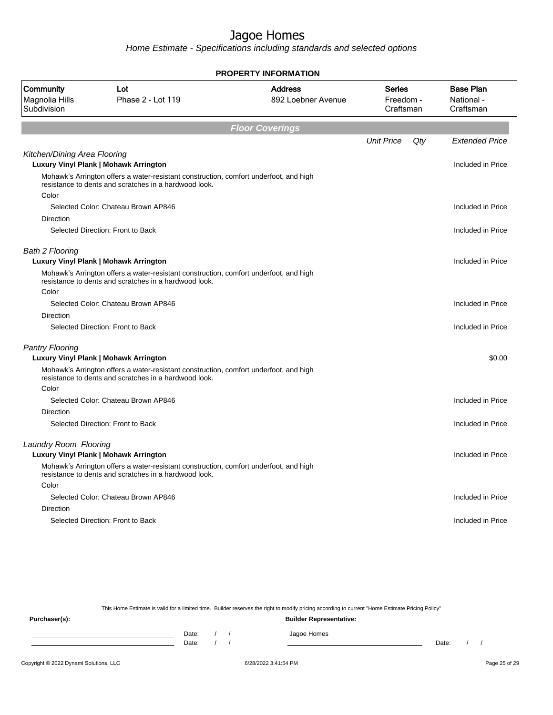Home Estimate - Specifications including standards and selected options

|                                            |                                                                                                                                                | <b>PROPERTY INFORMATION</b>          |                                  |     |                                             |  |  |  |  |  |  |
|--------------------------------------------|------------------------------------------------------------------------------------------------------------------------------------------------|--------------------------------------|----------------------------------|-----|---------------------------------------------|--|--|--|--|--|--|
| Community<br>Magnolia Hills<br>Subdivision | Lot<br>Phase 2 - Lot 119                                                                                                                       | <b>Address</b><br>892 Loebner Avenue | Series<br>Freedom -<br>Craftsman |     | <b>Base Plan</b><br>National -<br>Craftsman |  |  |  |  |  |  |
|                                            | <b>Floor Coverings</b>                                                                                                                         |                                      |                                  |     |                                             |  |  |  |  |  |  |
|                                            |                                                                                                                                                |                                      | <b>Unit Price</b>                | Qty | <b>Extended Price</b>                       |  |  |  |  |  |  |
| Kitchen/Dining Area Flooring               | <b>Luxury Vinyl Plank   Mohawk Arrington</b>                                                                                                   |                                      |                                  |     | Included in Price                           |  |  |  |  |  |  |
|                                            | Mohawk's Arrington offers a water-resistant construction, comfort underfoot, and high<br>resistance to dents and scratches in a hardwood look. |                                      |                                  |     |                                             |  |  |  |  |  |  |
| Color                                      |                                                                                                                                                |                                      |                                  |     |                                             |  |  |  |  |  |  |
|                                            | Selected Color: Chateau Brown AP846                                                                                                            |                                      |                                  |     | Included in Price                           |  |  |  |  |  |  |
| Direction                                  | Selected Direction: Front to Back                                                                                                              |                                      |                                  |     | Included in Price                           |  |  |  |  |  |  |
| <b>Bath 2 Flooring</b>                     | <b>Luxury Vinyl Plank   Mohawk Arrington</b>                                                                                                   |                                      |                                  |     | Included in Price                           |  |  |  |  |  |  |
|                                            | Mohawk's Arrington offers a water-resistant construction, comfort underfoot, and high<br>resistance to dents and scratches in a hardwood look. |                                      |                                  |     |                                             |  |  |  |  |  |  |
| Color                                      |                                                                                                                                                |                                      |                                  |     |                                             |  |  |  |  |  |  |
|                                            | Selected Color: Chateau Brown AP846                                                                                                            |                                      |                                  |     | Included in Price                           |  |  |  |  |  |  |
| Direction                                  |                                                                                                                                                |                                      |                                  |     |                                             |  |  |  |  |  |  |
|                                            | Selected Direction: Front to Back                                                                                                              |                                      |                                  |     | Included in Price                           |  |  |  |  |  |  |
| <b>Pantry Flooring</b>                     |                                                                                                                                                |                                      |                                  |     |                                             |  |  |  |  |  |  |
|                                            | Luxury Vinyl Plank   Mohawk Arrington                                                                                                          |                                      |                                  |     | \$0.00                                      |  |  |  |  |  |  |
|                                            | Mohawk's Arrington offers a water-resistant construction, comfort underfoot, and high<br>resistance to dents and scratches in a hardwood look. |                                      |                                  |     |                                             |  |  |  |  |  |  |
| Color                                      |                                                                                                                                                |                                      |                                  |     |                                             |  |  |  |  |  |  |
|                                            | Selected Color: Chateau Brown AP846                                                                                                            |                                      |                                  |     | Included in Price                           |  |  |  |  |  |  |
| Direction                                  |                                                                                                                                                |                                      |                                  |     |                                             |  |  |  |  |  |  |
|                                            | Selected Direction: Front to Back                                                                                                              |                                      |                                  |     | Included in Price                           |  |  |  |  |  |  |
| Laundry Room Flooring                      | Luxury Vinyl Plank   Mohawk Arrington                                                                                                          |                                      |                                  |     | Included in Price                           |  |  |  |  |  |  |
|                                            | Mohawk's Arrington offers a water-resistant construction, comfort underfoot, and high<br>resistance to dents and scratches in a hardwood look. |                                      |                                  |     |                                             |  |  |  |  |  |  |
| Color                                      |                                                                                                                                                |                                      |                                  |     |                                             |  |  |  |  |  |  |
|                                            | Selected Color: Chateau Brown AP846                                                                                                            |                                      |                                  |     | Included in Price                           |  |  |  |  |  |  |
| Direction                                  |                                                                                                                                                |                                      |                                  |     |                                             |  |  |  |  |  |  |
|                                            | Selected Direction: Front to Back                                                                                                              |                                      |                                  |     | Included in Price                           |  |  |  |  |  |  |
|                                            |                                                                                                                                                |                                      |                                  |     |                                             |  |  |  |  |  |  |

This Home Estimate is valid for a limited time. Builder reserves the right to modify pricing according to current "Home Estimate Pricing Policy"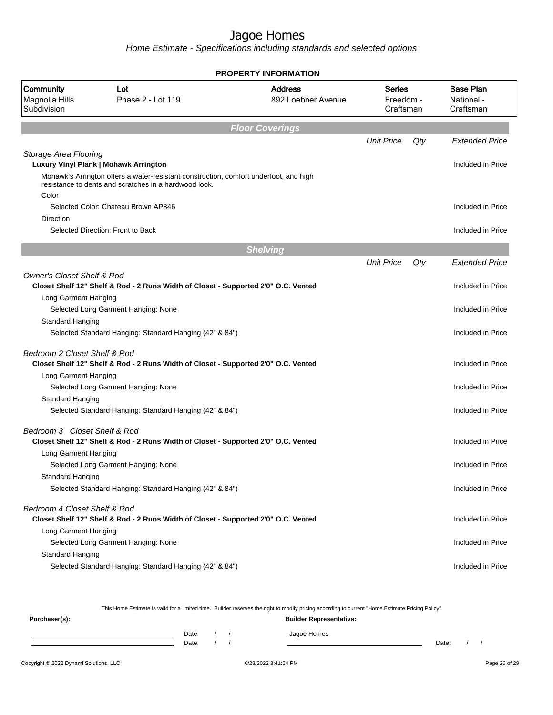Home Estimate - Specifications including standards and selected options

|                                            |                                                                                       | <b>PROPERTY INFORMATION</b> |                                  |     |                                             |
|--------------------------------------------|---------------------------------------------------------------------------------------|-----------------------------|----------------------------------|-----|---------------------------------------------|
| Community<br>Magnolia Hills<br>Subdivision | Lot<br><b>Address</b><br>Phase 2 - Lot 119<br>892 Loebner Avenue                      |                             | Series<br>Freedom -<br>Craftsman |     | <b>Base Plan</b><br>National -<br>Craftsman |
|                                            |                                                                                       | <b>Floor Coverings</b>      |                                  |     |                                             |
|                                            |                                                                                       |                             | <b>Unit Price</b>                | Qty | <b>Extended Price</b>                       |
| Storage Area Flooring                      | Luxury Vinyl Plank   Mohawk Arrington                                                 |                             |                                  |     | Included in Price                           |
|                                            | Mohawk's Arrington offers a water-resistant construction, comfort underfoot, and high |                             |                                  |     |                                             |
|                                            | resistance to dents and scratches in a hardwood look.                                 |                             |                                  |     |                                             |
| Color                                      | Selected Color: Chateau Brown AP846                                                   |                             |                                  |     | Included in Price                           |
| Direction                                  |                                                                                       |                             |                                  |     |                                             |
|                                            | Selected Direction: Front to Back                                                     |                             |                                  |     | Included in Price                           |
|                                            |                                                                                       | <b>Shelving</b>             |                                  |     |                                             |
|                                            |                                                                                       |                             | <b>Unit Price</b>                | Qty | <b>Extended Price</b>                       |
| <b>Owner's Closet Shelf &amp; Rod</b>      |                                                                                       |                             |                                  |     |                                             |
|                                            | Closet Shelf 12" Shelf & Rod - 2 Runs Width of Closet - Supported 2'0" O.C. Vented    |                             |                                  |     | Included in Price                           |
| Long Garment Hanging                       | Selected Long Garment Hanging: None                                                   |                             |                                  |     | Included in Price                           |
| Standard Hanging                           |                                                                                       |                             |                                  |     |                                             |
|                                            | Selected Standard Hanging: Standard Hanging (42" & 84")                               |                             |                                  |     | Included in Price                           |
| Bedroom 2 Closet Shelf & Rod               |                                                                                       |                             |                                  |     |                                             |
|                                            | Closet Shelf 12" Shelf & Rod - 2 Runs Width of Closet - Supported 2'0" O.C. Vented    |                             |                                  |     | Included in Price                           |
| Long Garment Hanging                       |                                                                                       |                             |                                  |     |                                             |
|                                            | Selected Long Garment Hanging: None                                                   |                             |                                  |     | Included in Price                           |
| Standard Hanging                           | Selected Standard Hanging: Standard Hanging (42" & 84")                               |                             |                                  |     | Included in Price                           |
|                                            |                                                                                       |                             |                                  |     |                                             |
| Bedroom 3 Closet Shelf & Rod               |                                                                                       |                             |                                  |     |                                             |
| Long Garment Hanging                       | Closet Shelf 12" Shelf & Rod - 2 Runs Width of Closet - Supported 2'0" O.C. Vented    |                             |                                  |     | Included in Price                           |
|                                            | Selected Long Garment Hanging: None                                                   |                             |                                  |     | Included in Price                           |
| Standard Hanging                           |                                                                                       |                             |                                  |     |                                             |
|                                            | Selected Standard Hanging: Standard Hanging (42" & 84")                               |                             |                                  |     | Included in Price                           |
| Bedroom 4 Closet Shelf & Rod               |                                                                                       |                             |                                  |     |                                             |
|                                            | Closet Shelf 12" Shelf & Rod - 2 Runs Width of Closet - Supported 2'0" O.C. Vented    |                             |                                  |     | Included in Price                           |
| Long Garment Hanging                       |                                                                                       |                             |                                  |     |                                             |
| Standard Hanging                           | Selected Long Garment Hanging: None                                                   |                             |                                  |     | Included in Price                           |
|                                            | Selected Standard Hanging: Standard Hanging (42" & 84")                               |                             |                                  |     | Included in Price                           |
|                                            |                                                                                       |                             |                                  |     |                                             |

This Home Estimate is valid for a limited time. Builder reserves the right to modify pricing according to current "Home Estimate Pricing Policy"

**Purchaser(s): Builder Representative:** Date: / / Jagoe Homes<br>Date: / / Jagoe Homes Date: / / **Date: / / 2006** Date: / / / Date: / / /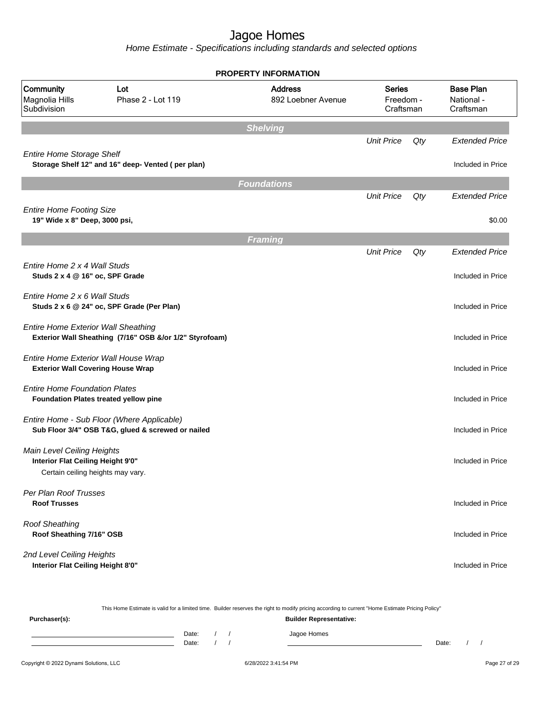|                                                                  |                                                                                                 | <b>PROPERTY INFORMATION</b>          |                                         |     |                                             |
|------------------------------------------------------------------|-------------------------------------------------------------------------------------------------|--------------------------------------|-----------------------------------------|-----|---------------------------------------------|
| Community<br>Magnolia Hills<br>Subdivision                       | Lot<br>Phase 2 - Lot 119                                                                        | <b>Address</b><br>892 Loebner Avenue | <b>Series</b><br>Freedom -<br>Craftsman |     | <b>Base Plan</b><br>National -<br>Craftsman |
|                                                                  |                                                                                                 | <b>Shelving</b>                      |                                         |     |                                             |
| <b>Entire Home Storage Shelf</b>                                 |                                                                                                 |                                      | <b>Unit Price</b>                       | Qty | <b>Extended Price</b>                       |
|                                                                  | Storage Shelf 12" and 16" deep- Vented (per plan)                                               |                                      |                                         |     | Included in Price                           |
|                                                                  |                                                                                                 | <b>Foundations</b>                   |                                         |     |                                             |
|                                                                  |                                                                                                 |                                      | <b>Unit Price</b>                       | Qty | <b>Extended Price</b>                       |
| <b>Entire Home Footing Size</b><br>19" Wide x 8" Deep, 3000 psi, |                                                                                                 |                                      |                                         |     | \$0.00                                      |
|                                                                  |                                                                                                 | <b>Framing</b>                       |                                         |     |                                             |
|                                                                  |                                                                                                 |                                      | <b>Unit Price</b>                       | Qty | <b>Extended Price</b>                       |
| Entire Home 2 x 4 Wall Studs<br>Studs 2 x 4 @ 16" oc, SPF Grade  |                                                                                                 |                                      |                                         |     | Included in Price                           |
| Entire Home 2 x 6 Wall Studs                                     | Studs 2 x 6 @ 24" oc, SPF Grade (Per Plan)                                                      |                                      |                                         |     | Included in Price                           |
| <b>Entire Home Exterior Wall Sheathing</b>                       | Exterior Wall Sheathing (7/16" OSB &/or 1/2" Styrofoam)                                         |                                      |                                         |     | Included in Price                           |
| <b>Exterior Wall Covering House Wrap</b>                         | Entire Home Exterior Wall House Wrap                                                            |                                      |                                         |     | Included in Price                           |
| <b>Entire Home Foundation Plates</b>                             | Foundation Plates treated yellow pine                                                           |                                      |                                         |     | Included in Price                           |
|                                                                  | Entire Home - Sub Floor (Where Applicable)<br>Sub Floor 3/4" OSB T&G, glued & screwed or nailed |                                      |                                         |     | Included in Price                           |
| Main Level Ceiling Heights<br>Interior Flat Ceiling Height 9'0"  |                                                                                                 |                                      |                                         |     | Included in Price                           |
| Certain ceiling heights may vary.                                |                                                                                                 |                                      |                                         |     |                                             |
| Per Plan Roof Trusses<br><b>Roof Trusses</b>                     |                                                                                                 |                                      |                                         |     | Included in Price                           |
| <b>Roof Sheathing</b><br>Roof Sheathing 7/16" OSB                |                                                                                                 |                                      |                                         |     | Included in Price                           |
| 2nd Level Ceiling Heights<br>Interior Flat Ceiling Height 8'0"   |                                                                                                 |                                      |                                         |     | Included in Price                           |

|                                        |                |  | This Home Estimate is valid for a limited time. Builder reserves the right to modify pricing according to current "Home Estimate Pricing Policy" |       |  |               |
|----------------------------------------|----------------|--|--------------------------------------------------------------------------------------------------------------------------------------------------|-------|--|---------------|
| Purchaser(s):                          |                |  | <b>Builder Representative:</b>                                                                                                                   |       |  |               |
|                                        | Date:<br>Date: |  | Jagoe Homes                                                                                                                                      | Date: |  |               |
| Copyright © 2022 Dynami Solutions, LLC |                |  | 6/28/2022 3:41:54 PM                                                                                                                             |       |  | Page 27 of 29 |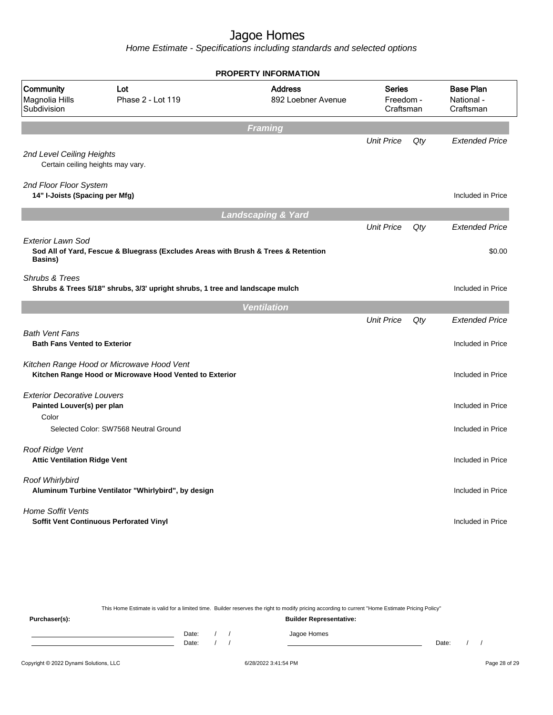Home Estimate - Specifications including standards and selected options

| <b>PROPERTY INFORMATION</b>                                               |                                                                                                      |                                      |                                         |     |                                             |  |  |  |  |
|---------------------------------------------------------------------------|------------------------------------------------------------------------------------------------------|--------------------------------------|-----------------------------------------|-----|---------------------------------------------|--|--|--|--|
| Community<br>Magnolia Hills<br>Subdivision                                | Lot<br>Phase 2 - Lot 119                                                                             | <b>Address</b><br>892 Loebner Avenue | <b>Series</b><br>Freedom -<br>Craftsman |     | <b>Base Plan</b><br>National -<br>Craftsman |  |  |  |  |
|                                                                           |                                                                                                      | <b>Framing</b>                       |                                         |     |                                             |  |  |  |  |
| 2nd Level Ceiling Heights                                                 | Certain ceiling heights may vary.                                                                    |                                      | <b>Unit Price</b>                       | Qty | <b>Extended Price</b>                       |  |  |  |  |
| 2nd Floor Floor System<br>14" I-Joists (Spacing per Mfg)                  |                                                                                                      |                                      |                                         |     | Included in Price                           |  |  |  |  |
|                                                                           |                                                                                                      | <b>Landscaping &amp; Yard</b>        |                                         |     |                                             |  |  |  |  |
|                                                                           |                                                                                                      |                                      | <b>Unit Price</b>                       | Qty | <b>Extended Price</b>                       |  |  |  |  |
| <b>Exterior Lawn Sod</b><br><b>Basins</b> )                               | Sod All of Yard, Fescue & Bluegrass (Excludes Areas with Brush & Trees & Retention                   |                                      |                                         |     | \$0.00                                      |  |  |  |  |
| Shrubs & Trees                                                            | Shrubs & Trees 5/18" shrubs, 3/3' upright shrubs, 1 tree and landscape mulch                         |                                      |                                         |     | Included in Price                           |  |  |  |  |
|                                                                           |                                                                                                      | <b>Ventilation</b>                   |                                         |     |                                             |  |  |  |  |
| <b>Bath Vent Fans</b><br><b>Bath Fans Vented to Exterior</b>              |                                                                                                      |                                      | <b>Unit Price</b>                       | Qty | <b>Extended Price</b><br>Included in Price  |  |  |  |  |
|                                                                           | Kitchen Range Hood or Microwave Hood Vent<br>Kitchen Range Hood or Microwave Hood Vented to Exterior |                                      |                                         |     | Included in Price                           |  |  |  |  |
| <b>Exterior Decorative Louvers</b><br>Painted Louver(s) per plan<br>Color |                                                                                                      |                                      |                                         |     | Included in Price                           |  |  |  |  |
|                                                                           | Selected Color: SW7568 Neutral Ground                                                                |                                      |                                         |     | Included in Price                           |  |  |  |  |
| Roof Ridge Vent<br><b>Attic Ventilation Ridge Vent</b>                    |                                                                                                      |                                      |                                         |     | Included in Price                           |  |  |  |  |
| Roof Whirlybird                                                           | Aluminum Turbine Ventilator "Whirlybird", by design                                                  |                                      |                                         |     | Included in Price                           |  |  |  |  |
| <b>Home Soffit Vents</b>                                                  | <b>Soffit Vent Continuous Perforated Vinyl</b>                                                       |                                      |                                         |     | Included in Price                           |  |  |  |  |